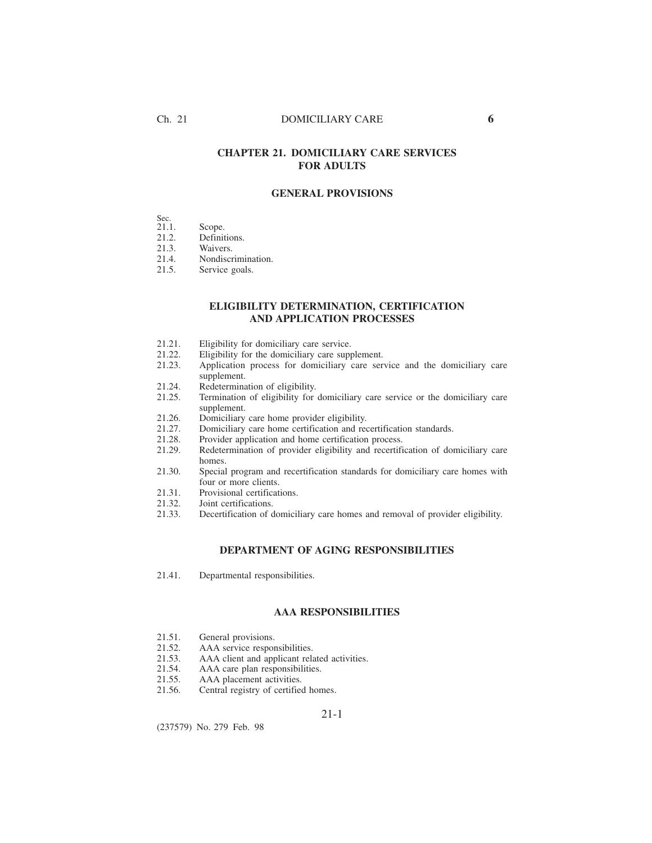### Ch. 21 DOMICILIARY CARE **6**

# **CHAPTER 21. DOMICILIARY CARE SERVICES FOR ADULTS**

### **GENERAL PROVISIONS**

| a.<br>v<br>$\sim$<br>۰.<br>$\sim$ |  |  |  |  |
|-----------------------------------|--|--|--|--|
|                                   |  |  |  |  |

| 21.1. | Scope.                                                                                                                                                                                                                                                                                                                                                                                                                 |  |
|-------|------------------------------------------------------------------------------------------------------------------------------------------------------------------------------------------------------------------------------------------------------------------------------------------------------------------------------------------------------------------------------------------------------------------------|--|
| 212   | $\Gamma$ . $\Gamma$ . $\Gamma$ . $\Gamma$ . $\Gamma$ . $\Gamma$ . $\Gamma$ . $\Gamma$ . $\Gamma$ . $\Gamma$ . $\Gamma$ . $\Gamma$ . $\Gamma$ . $\Gamma$ . $\Gamma$ . $\Gamma$ . $\Gamma$ . $\Gamma$ . $\Gamma$ . $\Gamma$ . $\Gamma$ . $\Gamma$ . $\Gamma$ . $\Gamma$ . $\Gamma$ . $\Gamma$ . $\Gamma$ . $\Gamma$ . $\Gamma$ . $\Gamma$ . $\Gamma$ . $\Gamma$ . $\Gamma$ . $\Gamma$ . $\Gamma$ . $\Gamma$ . $\Gamma$ . |  |

21.2. Definitions.<br>21.3. Waivers. Waivers.

21.4. Nondiscrimination.<br>21.5. Service goals.

Service goals.

# **ELIGIBILITY DETERMINATION, CERTIFICATION AND APPLICATION PROCESSES**

- 
- 21.21. Eligibility for domiciliary care service.<br>21.22. Eligibility for the domiciliary care supply
- 21.22. Eligibility for the domiciliary care supplement.<br>21.23. Application process for domiciliary care ser Application process for domiciliary care service and the domiciliary care supplement.
- 21.24. Redetermination of eligibility.<br>21.25. Termination of eligibility for
- Termination of eligibility for domiciliary care service or the domiciliary care supplement.
- 21.26. Domiciliary care home provider eligibility.<br>21.27. Domiciliary care home certification and req
- 21.27. Domiciliary care home certification and recertification standards.<br>21.28. Provider application and home certification process.
- 21.28. Provider application and home certification process.<br>21.29. Redetermination of provider eligibility and recertifi
- Redetermination of provider eligibility and recertification of domiciliary care homes.
- 21.30. Special program and recertification standards for domiciliary care homes with four or more clients.
- 21.31. Provisional certifications.<br>21.32. Joint certifications.
- 21.32. Joint certifications.<br>21.33. Decertification of d
- Decertification of domiciliary care homes and removal of provider eligibility.

### **DEPARTMENT OF AGING RESPONSIBILITIES**

21.41. Departmental responsibilities.

### **AAA RESPONSIBILITIES**

- 21.51. General provisions.<br>21.52. AAA service respor
- 21.52. AAA service responsibilities.<br>21.53. AAA client and applicant rela
- 21.53. AAA client and applicant related activities.<br>21.54. AAA care plan responsibilities.
- 21.54. AAA care plan responsibilities.<br>21.55. AAA placement activities.
- 21.55. AAA placement activities.<br>21.56. Central registry of certified
- Central registry of certified homes.

#### 21-1

(237579) No. 279 Feb. 98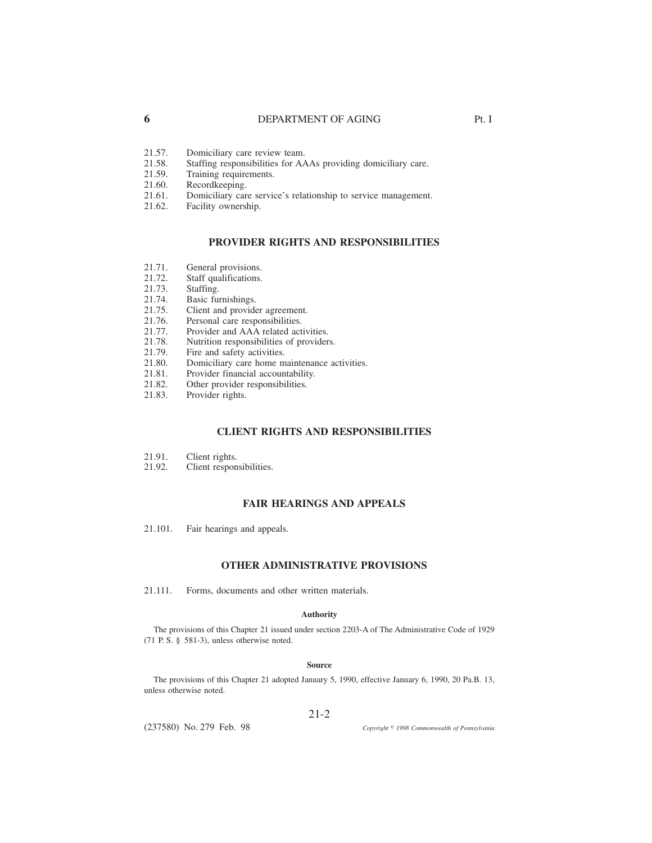### **6** DEPARTMENT OF AGING Pt. I

- 21.57. Domiciliary care review team.<br>21.58. Staffing responsibilities for AA
- 21.58. Staffing responsibilities for AAAs providing domiciliary care.<br>21.59. Training requirements.
- 21.59. Training requirements.<br>21.60. Recordkeeping.
- 21.60. Recordkeeping.<br>21.61. Domiciliary car
- 21.61. Domiciliary care service's relationship to service management.<br>21.62. Facility ownership.
- Facility ownership.

### **PROVIDER RIGHTS AND RESPONSIBILITIES**

- 21.71. General provisions.
- 21.72. Staff qualifications.
- 21.73. Staffing.<br>21.74. Basic fun
- 21.74. Basic furnishings.<br>21.75. Client and provide
- 21.75. Client and provider agreement.<br>21.76. Personal care responsibilities.
- Personal care responsibilities.
- 21.77. Provider and AAA related activities.<br>21.78. Nutrition responsibilities of provider
- 21.78. Nutrition responsibilities of providers.<br>21.79. Fire and safety activities.
- 21.79. Fire and safety activities.<br>21.80. Domiciliary care home m
- 21.80. Domiciliary care home maintenance activities.<br>21.81. Provider financial accountability.
- Provider financial accountability.
- 21.82. Other provider responsibilities.<br>21.83. Provider rights.
- Provider rights.

### **CLIENT RIGHTS AND RESPONSIBILITIES**

- 21.91. Client rights.<br>21.92. Client respon
- Client responsibilities.

### **FAIR HEARINGS AND APPEALS**

21.101. Fair hearings and appeals.

#### **OTHER ADMINISTRATIVE PROVISIONS**

21.111. Forms, documents and other written materials.

#### **Authority**

The provisions of this Chapter 21 issued under section 2203-A of The Administrative Code of 1929 (71 P. S. § 581-3), unless otherwise noted.

#### **Source**

The provisions of this Chapter 21 adopted January 5, 1990, effective January 6, 1990, 20 Pa.B. 13, unless otherwise noted.

#### 21-2

(237580) No. 279 Feb. 98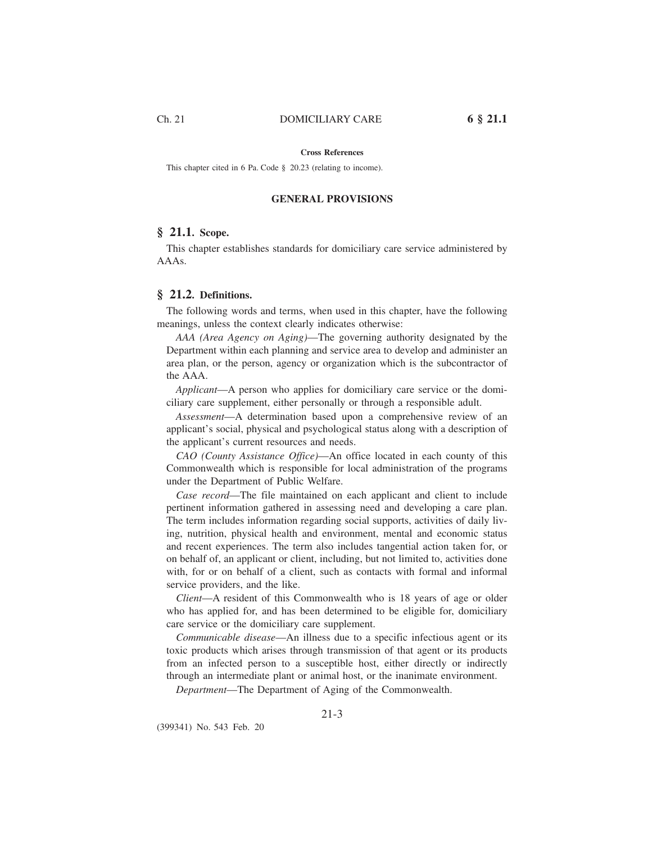#### **Cross References**

This chapter cited in 6 Pa. Code § 20.23 (relating to income).

#### **GENERAL PROVISIONS**

### **§ 21.1. Scope.**

This chapter establishes standards for domiciliary care service administered by AAAs.

#### **§ 21.2. Definitions.**

The following words and terms, when used in this chapter, have the following meanings, unless the context clearly indicates otherwise:

*AAA (Area Agency on Aging)*—The governing authority designated by the Department within each planning and service area to develop and administer an area plan, or the person, agency or organization which is the subcontractor of the AAA.

*Applicant*—A person who applies for domiciliary care service or the domiciliary care supplement, either personally or through a responsible adult.

*Assessment*—A determination based upon a comprehensive review of an applicant's social, physical and psychological status along with a description of the applicant's current resources and needs.

*CAO (County Assistance Office)*—An office located in each county of this Commonwealth which is responsible for local administration of the programs under the Department of Public Welfare.

*Case record*—The file maintained on each applicant and client to include pertinent information gathered in assessing need and developing a care plan. The term includes information regarding social supports, activities of daily living, nutrition, physical health and environment, mental and economic status and recent experiences. The term also includes tangential action taken for, or on behalf of, an applicant or client, including, but not limited to, activities done with, for or on behalf of a client, such as contacts with formal and informal service providers, and the like.

*Client*—A resident of this Commonwealth who is 18 years of age or older who has applied for, and has been determined to be eligible for, domiciliary care service or the domiciliary care supplement.

*Communicable disease*—An illness due to a specific infectious agent or its toxic products which arises through transmission of that agent or its products from an infected person to a susceptible host, either directly or indirectly through an intermediate plant or animal host, or the inanimate environment.

*Department*—The Department of Aging of the Commonwealth.

(399341) No. 543 Feb. 20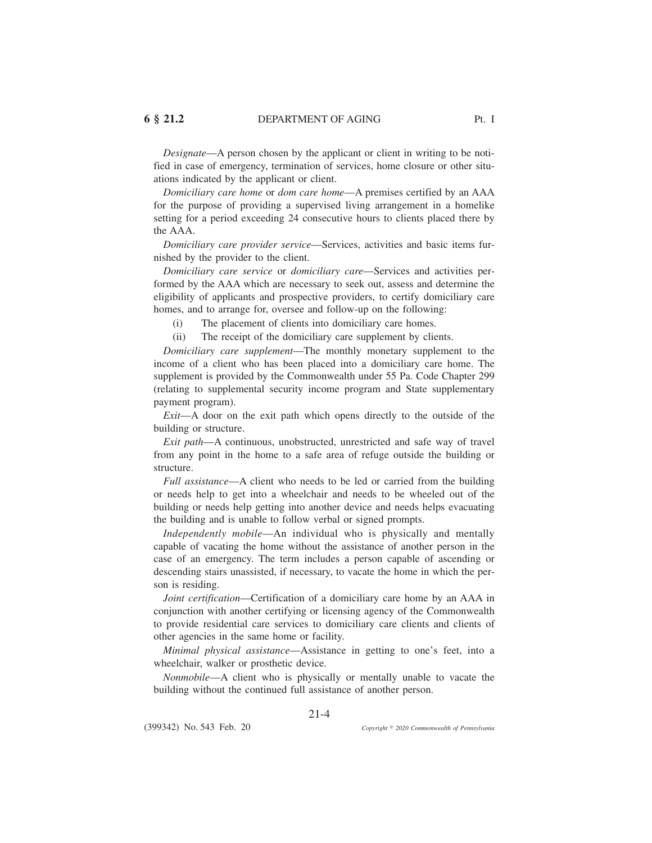*Designate*—A person chosen by the applicant or client in writing to be notified in case of emergency, termination of services, home closure or other situations indicated by the applicant or client.

*Domiciliary care home* or *dom care home*—A premises certified by an AAA for the purpose of providing a supervised living arrangement in a homelike setting for a period exceeding 24 consecutive hours to clients placed there by the AAA.

*Domiciliary care provider service*—Services, activities and basic items furnished by the provider to the client.

*Domiciliary care service* or *domiciliary care*—Services and activities performed by the AAA which are necessary to seek out, assess and determine the eligibility of applicants and prospective providers, to certify domiciliary care homes, and to arrange for, oversee and follow-up on the following:

(i) The placement of clients into domiciliary care homes.

(ii) The receipt of the domiciliary care supplement by clients.

*Domiciliary care supplement*—The monthly monetary supplement to the income of a client who has been placed into a domiciliary care home. The supplement is provided by the Commonwealth under 55 Pa. Code Chapter 299 (relating to supplemental security income program and State supplementary payment program).

*Exit*—A door on the exit path which opens directly to the outside of the building or structure.

*Exit path*—A continuous, unobstructed, unrestricted and safe way of travel from any point in the home to a safe area of refuge outside the building or structure.

*Full assistance*—A client who needs to be led or carried from the building or needs help to get into a wheelchair and needs to be wheeled out of the building or needs help getting into another device and needs helps evacuating the building and is unable to follow verbal or signed prompts.

*Independently mobile*—An individual who is physically and mentally capable of vacating the home without the assistance of another person in the case of an emergency. The term includes a person capable of ascending or descending stairs unassisted, if necessary, to vacate the home in which the person is residing.

*Joint certification*—Certification of a domiciliary care home by an AAA in conjunction with another certifying or licensing agency of the Commonwealth to provide residential care services to domiciliary care clients and clients of other agencies in the same home or facility.

*Minimal physical assistance*—Assistance in getting to one's feet, into a wheelchair, walker or prosthetic device.

*Nonmobile*—A client who is physically or mentally unable to vacate the building without the continued full assistance of another person.

21-4

(399342) No. 543 Feb. 20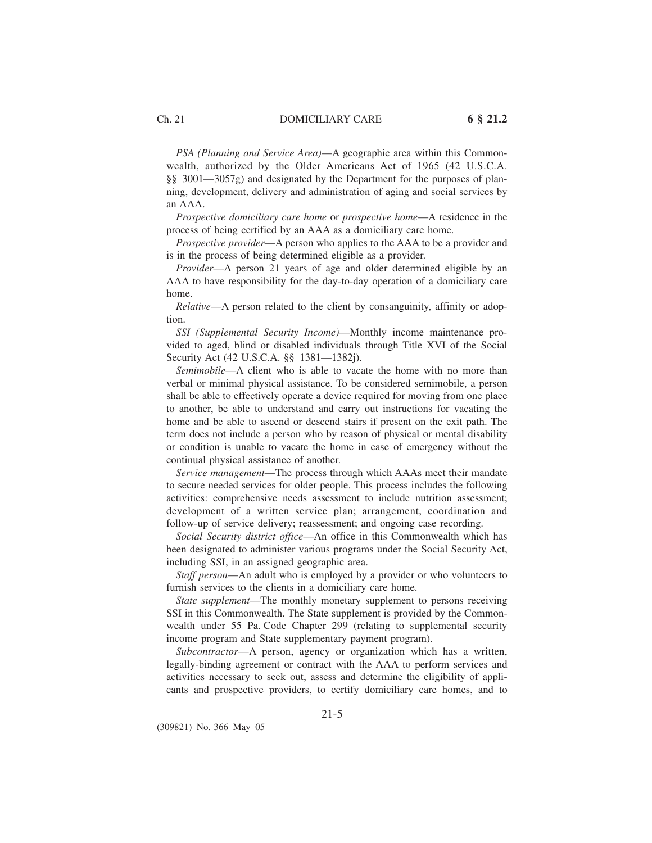*PSA (Planning and Service Area)*—A geographic area within this Commonwealth, authorized by the Older Americans Act of 1965 (42 U.S.C.A. §§ 3001—3057g) and designated by the Department for the purposes of planning, development, delivery and administration of aging and social services by an AAA.

*Prospective domiciliary care home* or *prospective home*—A residence in the process of being certified by an AAA as a domiciliary care home.

*Prospective provider*—A person who applies to the AAA to be a provider and is in the process of being determined eligible as a provider.

*Provider*—A person 21 years of age and older determined eligible by an AAA to have responsibility for the day-to-day operation of a domiciliary care home.

*Relative*—A person related to the client by consanguinity, affinity or adoption.

*SSI (Supplemental Security Income)*—Monthly income maintenance provided to aged, blind or disabled individuals through Title XVI of the Social Security Act (42 U.S.C.A. §§ 1381—1382j).

*Semimobile*—A client who is able to vacate the home with no more than verbal or minimal physical assistance. To be considered semimobile, a person shall be able to effectively operate a device required for moving from one place to another, be able to understand and carry out instructions for vacating the home and be able to ascend or descend stairs if present on the exit path. The term does not include a person who by reason of physical or mental disability or condition is unable to vacate the home in case of emergency without the continual physical assistance of another.

*Service management*—The process through which AAAs meet their mandate to secure needed services for older people. This process includes the following activities: comprehensive needs assessment to include nutrition assessment; development of a written service plan; arrangement, coordination and follow-up of service delivery; reassessment; and ongoing case recording.

*Social Security district office*—An office in this Commonwealth which has been designated to administer various programs under the Social Security Act, including SSI, in an assigned geographic area.

*Staff person*—An adult who is employed by a provider or who volunteers to furnish services to the clients in a domiciliary care home.

*State supplement*—The monthly monetary supplement to persons receiving SSI in this Commonwealth. The State supplement is provided by the Commonwealth under 55 Pa. Code Chapter 299 (relating to supplemental security income program and State supplementary payment program).

*Subcontractor*—A person, agency or organization which has a written, legally-binding agreement or contract with the AAA to perform services and activities necessary to seek out, assess and determine the eligibility of applicants and prospective providers, to certify domiciliary care homes, and to

(309821) No. 366 May 05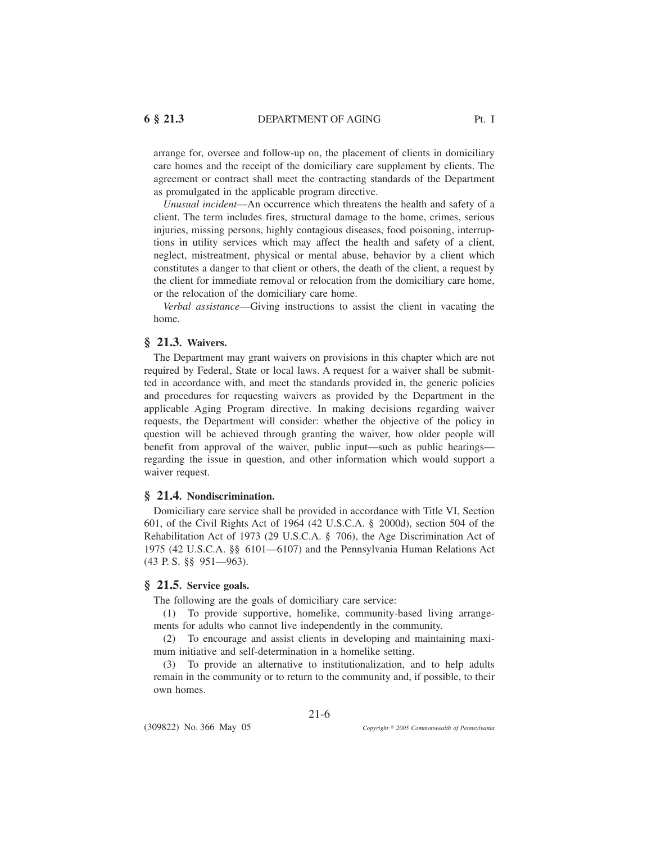arrange for, oversee and follow-up on, the placement of clients in domiciliary care homes and the receipt of the domiciliary care supplement by clients. The agreement or contract shall meet the contracting standards of the Department as promulgated in the applicable program directive.

*Unusual incident*—An occurrence which threatens the health and safety of a client. The term includes fires, structural damage to the home, crimes, serious injuries, missing persons, highly contagious diseases, food poisoning, interruptions in utility services which may affect the health and safety of a client, neglect, mistreatment, physical or mental abuse, behavior by a client which constitutes a danger to that client or others, the death of the client, a request by the client for immediate removal or relocation from the domiciliary care home, or the relocation of the domiciliary care home.

*Verbal assistance*—Giving instructions to assist the client in vacating the home.

### **§ 21.3. Waivers.**

The Department may grant waivers on provisions in this chapter which are not required by Federal, State or local laws. A request for a waiver shall be submitted in accordance with, and meet the standards provided in, the generic policies and procedures for requesting waivers as provided by the Department in the applicable Aging Program directive. In making decisions regarding waiver requests, the Department will consider: whether the objective of the policy in question will be achieved through granting the waiver, how older people will benefit from approval of the waiver, public input—such as public hearings regarding the issue in question, and other information which would support a waiver request.

#### **§ 21.4. Nondiscrimination.**

Domiciliary care service shall be provided in accordance with Title VI, Section 601, of the Civil Rights Act of 1964 (42 U.S.C.A. § 2000d), section 504 of the Rehabilitation Act of 1973 (29 U.S.C.A. § 706), the Age Discrimination Act of 1975 (42 U.S.C.A. §§ 6101—6107) and the Pennsylvania Human Relations Act (43 P. S. §§ 951—963).

### **§ 21.5. Service goals.**

The following are the goals of domiciliary care service:

(1) To provide supportive, homelike, community-based living arrangements for adults who cannot live independently in the community.

(2) To encourage and assist clients in developing and maintaining maximum initiative and self-determination in a homelike setting.

(3) To provide an alternative to institutionalization, and to help adults remain in the community or to return to the community and, if possible, to their own homes.

21-6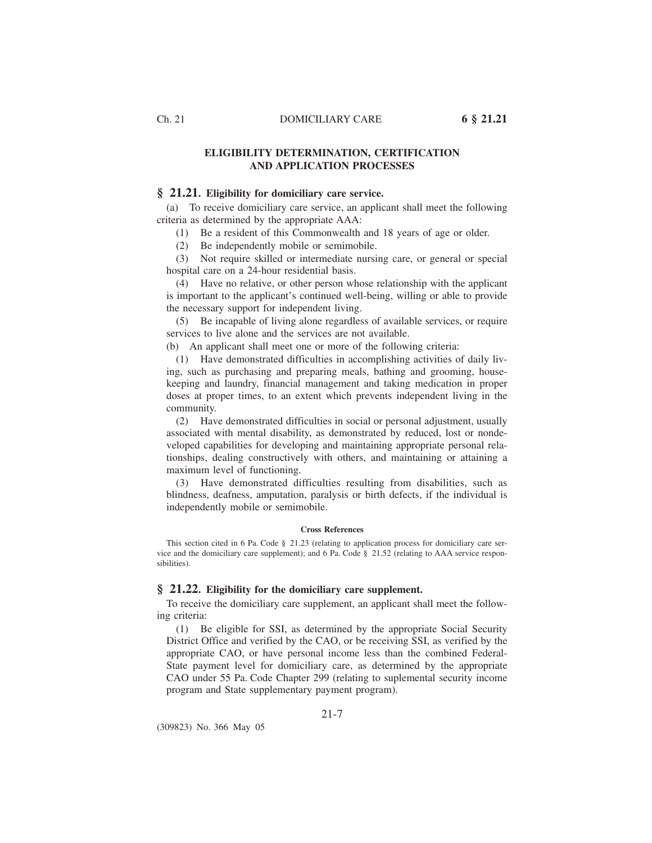### **ELIGIBILITY DETERMINATION, CERTIFICATION AND APPLICATION PROCESSES**

### **§ 21.21. Eligibility for domiciliary care service.**

(a) To receive domiciliary care service, an applicant shall meet the following criteria as determined by the appropriate AAA:

(1) Be a resident of this Commonwealth and 18 years of age or older.

(2) Be independently mobile or semimobile.

(3) Not require skilled or intermediate nursing care, or general or special hospital care on a 24-hour residential basis.

(4) Have no relative, or other person whose relationship with the applicant is important to the applicant's continued well-being, willing or able to provide the necessary support for independent living.

(5) Be incapable of living alone regardless of available services, or require services to live alone and the services are not available.

(b) An applicant shall meet one or more of the following criteria:

(1) Have demonstrated difficulties in accomplishing activities of daily living, such as purchasing and preparing meals, bathing and grooming, housekeeping and laundry, financial management and taking medication in proper doses at proper times, to an extent which prevents independent living in the community.

(2) Have demonstrated difficulties in social or personal adjustment, usually associated with mental disability, as demonstrated by reduced, lost or nondeveloped capabilities for developing and maintaining appropriate personal relationships, dealing constructively with others, and maintaining or attaining a maximum level of functioning.

(3) Have demonstrated difficulties resulting from disabilities, such as blindness, deafness, amputation, paralysis or birth defects, if the individual is independently mobile or semimobile.

#### **Cross References**

This section cited in 6 Pa. Code § 21.23 (relating to application process for domiciliary care service and the domiciliary care supplement); and 6 Pa. Code § 21.52 (relating to AAA service responsibilities).

#### **§ 21.22. Eligibility for the domiciliary care supplement.**

To receive the domiciliary care supplement, an applicant shall meet the following criteria:

(1) Be eligible for SSI, as determined by the appropriate Social Security District Office and verified by the CAO, or be receiving SSI, as verified by the appropriate CAO, or have personal income less than the combined Federal-State payment level for domiciliary care, as determined by the appropriate CAO under 55 Pa. Code Chapter 299 (relating to suplemental security income program and State supplementary payment program).

21-7

(309823) No. 366 May 05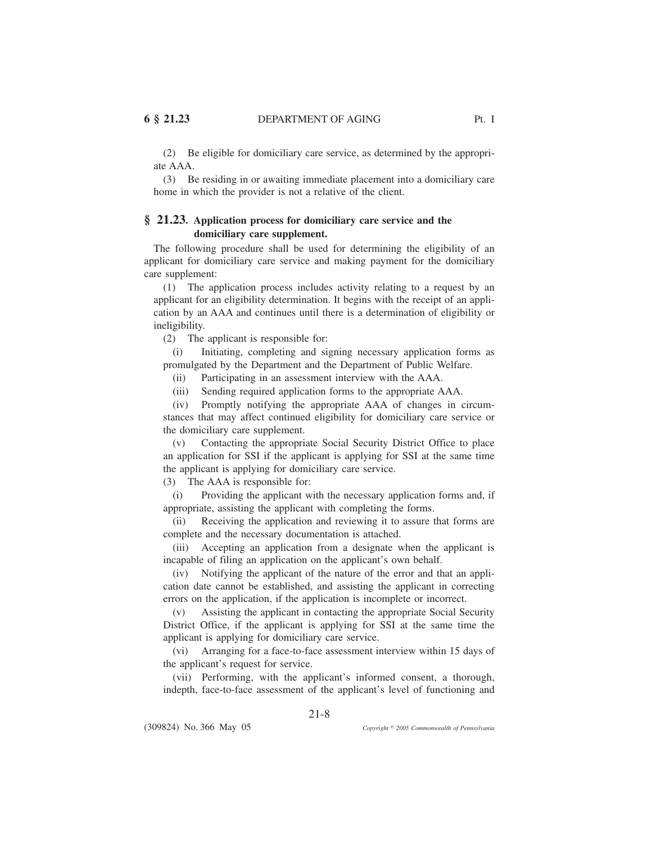(2) Be eligible for domiciliary care service, as determined by the appropriate AAA.

(3) Be residing in or awaiting immediate placement into a domiciliary care home in which the provider is not a relative of the client.

# **§ 21.23. Application process for domiciliary care service and the domiciliary care supplement.**

The following procedure shall be used for determining the eligibility of an applicant for domiciliary care service and making payment for the domiciliary care supplement:

(1) The application process includes activity relating to a request by an applicant for an eligibility determination. It begins with the receipt of an application by an AAA and continues until there is a determination of eligibility or ineligibility.

(2) The applicant is responsible for:

(i) Initiating, completing and signing necessary application forms as promulgated by the Department and the Department of Public Welfare.

(ii) Participating in an assessment interview with the AAA.

(iii) Sending required application forms to the appropriate AAA.

(iv) Promptly notifying the appropriate AAA of changes in circumstances that may affect continued eligibility for domiciliary care service or the domiciliary care supplement.

(v) Contacting the appropriate Social Security District Office to place an application for SSI if the applicant is applying for SSI at the same time the applicant is applying for domiciliary care service.

(3) The AAA is responsible for:

(i) Providing the applicant with the necessary application forms and, if appropriate, assisting the applicant with completing the forms.

(ii) Receiving the application and reviewing it to assure that forms are complete and the necessary documentation is attached.

(iii) Accepting an application from a designate when the applicant is incapable of filing an application on the applicant's own behalf.

(iv) Notifying the applicant of the nature of the error and that an application date cannot be established, and assisting the applicant in correcting errors on the application, if the application is incomplete or incorrect.

(v) Assisting the applicant in contacting the appropriate Social Security District Office, if the applicant is applying for SSI at the same time the applicant is applying for domiciliary care service.

(vi) Arranging for a face-to-face assessment interview within 15 days of the applicant's request for service.

(vii) Performing, with the applicant's informed consent, a thorough, indepth, face-to-face assessment of the applicant's level of functioning and

21-8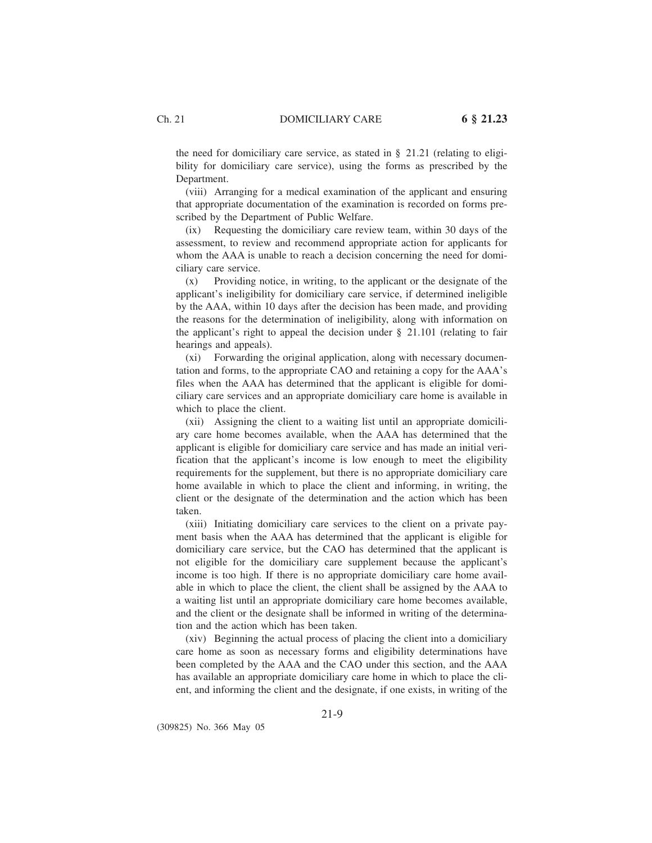the need for domiciliary care service, as stated in § 21.21 (relating to eligibility for domiciliary care service), using the forms as prescribed by the Department.

(viii) Arranging for a medical examination of the applicant and ensuring that appropriate documentation of the examination is recorded on forms prescribed by the Department of Public Welfare.

(ix) Requesting the domiciliary care review team, within 30 days of the assessment, to review and recommend appropriate action for applicants for whom the AAA is unable to reach a decision concerning the need for domiciliary care service.

(x) Providing notice, in writing, to the applicant or the designate of the applicant's ineligibility for domiciliary care service, if determined ineligible by the AAA, within 10 days after the decision has been made, and providing the reasons for the determination of ineligibility, along with information on the applicant's right to appeal the decision under  $\S$  21.101 (relating to fair hearings and appeals).

(xi) Forwarding the original application, along with necessary documentation and forms, to the appropriate CAO and retaining a copy for the AAA's files when the AAA has determined that the applicant is eligible for domiciliary care services and an appropriate domiciliary care home is available in which to place the client.

(xii) Assigning the client to a waiting list until an appropriate domiciliary care home becomes available, when the AAA has determined that the applicant is eligible for domiciliary care service and has made an initial verification that the applicant's income is low enough to meet the eligibility requirements for the supplement, but there is no appropriate domiciliary care home available in which to place the client and informing, in writing, the client or the designate of the determination and the action which has been taken.

(xiii) Initiating domiciliary care services to the client on a private payment basis when the AAA has determined that the applicant is eligible for domiciliary care service, but the CAO has determined that the applicant is not eligible for the domiciliary care supplement because the applicant's income is too high. If there is no appropriate domiciliary care home available in which to place the client, the client shall be assigned by the AAA to a waiting list until an appropriate domiciliary care home becomes available, and the client or the designate shall be informed in writing of the determination and the action which has been taken.

(xiv) Beginning the actual process of placing the client into a domiciliary care home as soon as necessary forms and eligibility determinations have been completed by the AAA and the CAO under this section, and the AAA has available an appropriate domiciliary care home in which to place the client, and informing the client and the designate, if one exists, in writing of the

(309825) No. 366 May 05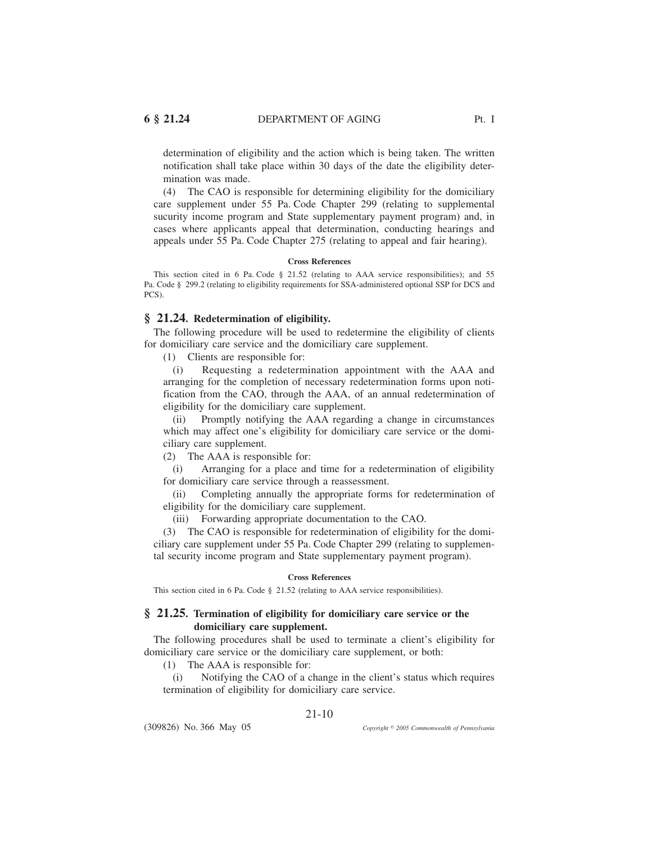determination of eligibility and the action which is being taken. The written notification shall take place within 30 days of the date the eligibility determination was made.

(4) The CAO is responsible for determining eligibility for the domiciliary care supplement under 55 Pa. Code Chapter 299 (relating to supplemental sucurity income program and State supplementary payment program) and, in cases where applicants appeal that determination, conducting hearings and appeals under 55 Pa. Code Chapter 275 (relating to appeal and fair hearing).

#### **Cross References**

This section cited in 6 Pa. Code § 21.52 (relating to AAA service responsibilities); and 55 Pa. Code § 299.2 (relating to eligibility requirements for SSA-administered optional SSP for DCS and PCS).

#### **§ 21.24. Redetermination of eligibility.**

The following procedure will be used to redetermine the eligibility of clients for domiciliary care service and the domiciliary care supplement.

(1) Clients are responsible for:

(i) Requesting a redetermination appointment with the AAA and arranging for the completion of necessary redetermination forms upon notification from the CAO, through the AAA, of an annual redetermination of eligibility for the domiciliary care supplement.

(ii) Promptly notifying the AAA regarding a change in circumstances which may affect one's eligibility for domiciliary care service or the domiciliary care supplement.

(2) The AAA is responsible for:

(i) Arranging for a place and time for a redetermination of eligibility for domiciliary care service through a reassessment.

(ii) Completing annually the appropriate forms for redetermination of eligibility for the domiciliary care supplement.

(iii) Forwarding appropriate documentation to the CAO.

(3) The CAO is responsible for redetermination of eligibility for the domiciliary care supplement under 55 Pa. Code Chapter 299 (relating to supplemental security income program and State supplementary payment program).

#### **Cross References**

This section cited in 6 Pa. Code § 21.52 (relating to AAA service responsibilities).

### **§ 21.25. Termination of eligibility for domiciliary care service or the domiciliary care supplement.**

The following procedures shall be used to terminate a client's eligibility for domiciliary care service or the domiciliary care supplement, or both:

(1) The AAA is responsible for:

(i) Notifying the CAO of a change in the client's status which requires termination of eligibility for domiciliary care service.

21-10

(309826) No. 366 May 05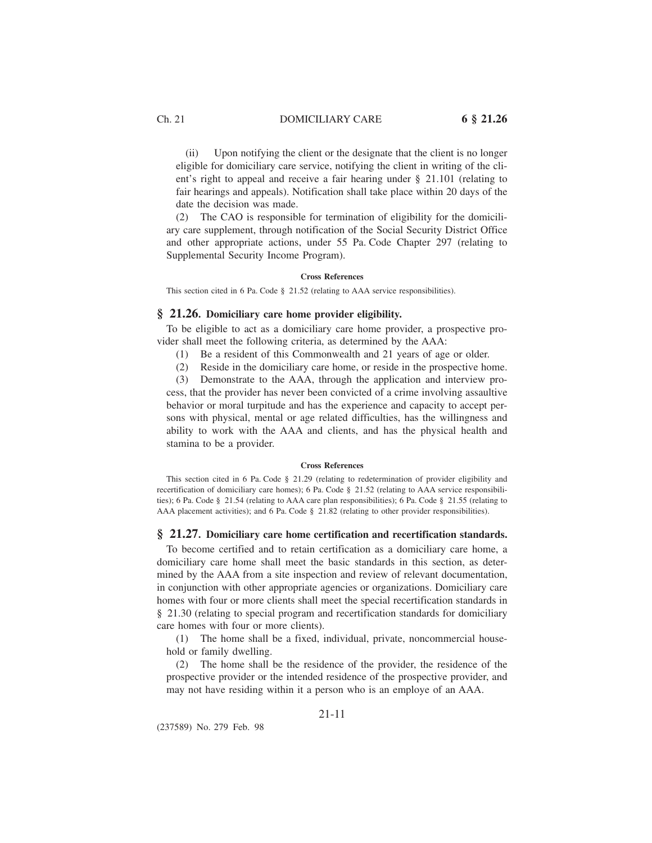(ii) Upon notifying the client or the designate that the client is no longer eligible for domiciliary care service, notifying the client in writing of the client's right to appeal and receive a fair hearing under § 21.101 (relating to fair hearings and appeals). Notification shall take place within 20 days of the date the decision was made.

(2) The CAO is responsible for termination of eligibility for the domiciliary care supplement, through notification of the Social Security District Office and other appropriate actions, under 55 Pa. Code Chapter 297 (relating to Supplemental Security Income Program).

#### **Cross References**

This section cited in 6 Pa. Code § 21.52 (relating to AAA service responsibilities).

#### **§ 21.26. Domiciliary care home provider eligibility.**

To be eligible to act as a domiciliary care home provider, a prospective provider shall meet the following criteria, as determined by the AAA:

- (1) Be a resident of this Commonwealth and 21 years of age or older.
- (2) Reside in the domiciliary care home, or reside in the prospective home.
- (3) Demonstrate to the AAA, through the application and interview pro-

cess, that the provider has never been convicted of a crime involving assaultive behavior or moral turpitude and has the experience and capacity to accept persons with physical, mental or age related difficulties, has the willingness and ability to work with the AAA and clients, and has the physical health and stamina to be a provider.

#### **Cross References**

This section cited in 6 Pa. Code § 21.29 (relating to redetermination of provider eligibility and recertification of domiciliary care homes); 6 Pa. Code § 21.52 (relating to AAA service responsibilities); 6 Pa. Code § 21.54 (relating to AAA care plan responsibilities); 6 Pa. Code § 21.55 (relating to AAA placement activities); and 6 Pa. Code § 21.82 (relating to other provider responsibilities).

#### **§ 21.27. Domiciliary care home certification and recertification standards.**

To become certified and to retain certification as a domiciliary care home, a domiciliary care home shall meet the basic standards in this section, as determined by the AAA from a site inspection and review of relevant documentation, in conjunction with other appropriate agencies or organizations. Domiciliary care homes with four or more clients shall meet the special recertification standards in § 21.30 (relating to special program and recertification standards for domiciliary care homes with four or more clients).

(1) The home shall be a fixed, individual, private, noncommercial household or family dwelling.

(2) The home shall be the residence of the provider, the residence of the prospective provider or the intended residence of the prospective provider, and may not have residing within it a person who is an employe of an AAA.

### 21-11

(237589) No. 279 Feb. 98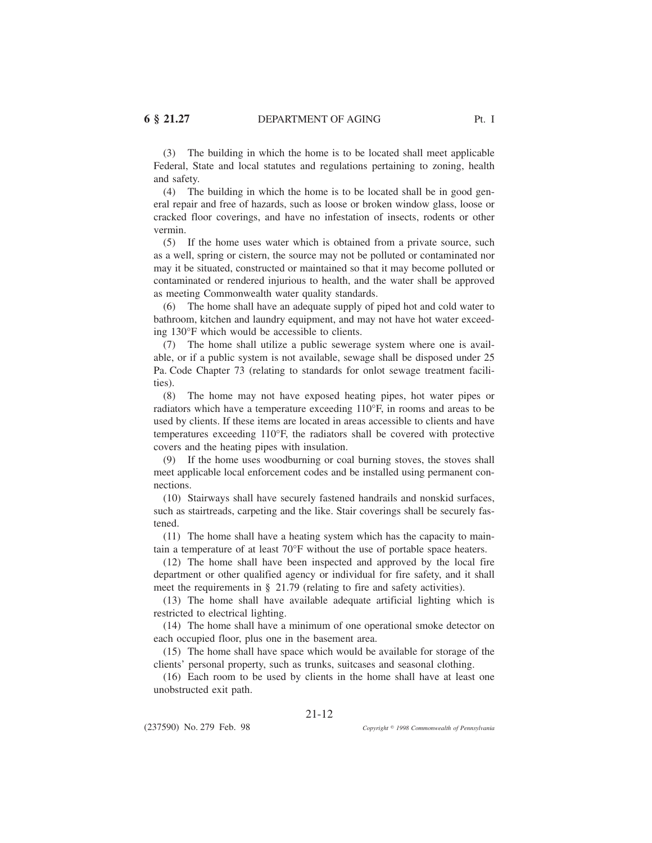(3) The building in which the home is to be located shall meet applicable Federal, State and local statutes and regulations pertaining to zoning, health and safety.

(4) The building in which the home is to be located shall be in good general repair and free of hazards, such as loose or broken window glass, loose or cracked floor coverings, and have no infestation of insects, rodents or other vermin.

(5) If the home uses water which is obtained from a private source, such as a well, spring or cistern, the source may not be polluted or contaminated nor may it be situated, constructed or maintained so that it may become polluted or contaminated or rendered injurious to health, and the water shall be approved as meeting Commonwealth water quality standards.

(6) The home shall have an adequate supply of piped hot and cold water to bathroom, kitchen and laundry equipment, and may not have hot water exceeding 130°F which would be accessible to clients.

(7) The home shall utilize a public sewerage system where one is available, or if a public system is not available, sewage shall be disposed under 25 Pa. Code Chapter 73 (relating to standards for onlot sewage treatment facilities).

(8) The home may not have exposed heating pipes, hot water pipes or radiators which have a temperature exceeding 110°F, in rooms and areas to be used by clients. If these items are located in areas accessible to clients and have temperatures exceeding 110°F, the radiators shall be covered with protective covers and the heating pipes with insulation.

(9) If the home uses woodburning or coal burning stoves, the stoves shall meet applicable local enforcement codes and be installed using permanent connections.

(10) Stairways shall have securely fastened handrails and nonskid surfaces, such as stairtreads, carpeting and the like. Stair coverings shall be securely fastened.

(11) The home shall have a heating system which has the capacity to maintain a temperature of at least 70°F without the use of portable space heaters.

(12) The home shall have been inspected and approved by the local fire department or other qualified agency or individual for fire safety, and it shall meet the requirements in § 21.79 (relating to fire and safety activities).

(13) The home shall have available adequate artificial lighting which is restricted to electrical lighting.

(14) The home shall have a minimum of one operational smoke detector on each occupied floor, plus one in the basement area.

(15) The home shall have space which would be available for storage of the clients' personal property, such as trunks, suitcases and seasonal clothing.

(16) Each room to be used by clients in the home shall have at least one unobstructed exit path.

(237590) No. 279 Feb. 98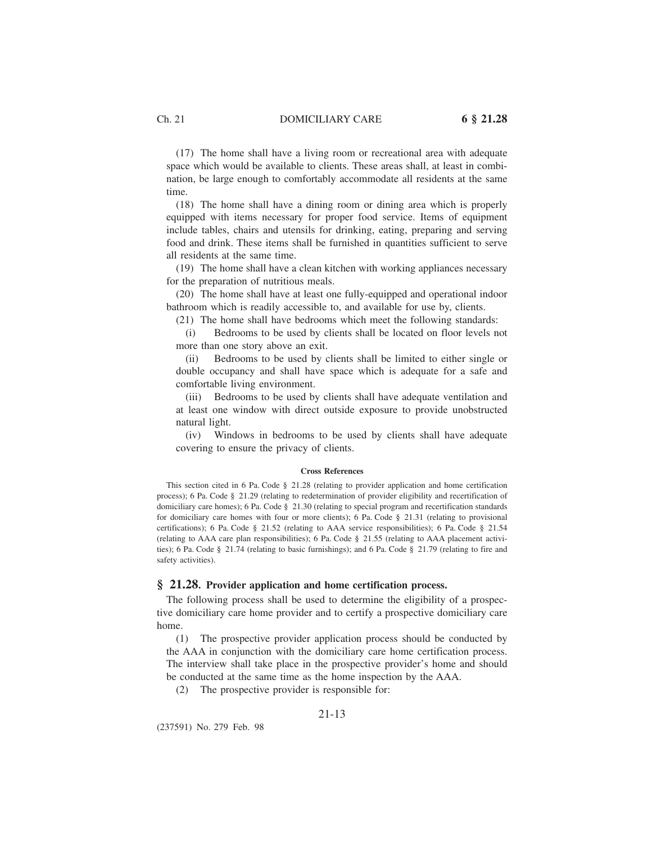(17) The home shall have a living room or recreational area with adequate space which would be available to clients. These areas shall, at least in combination, be large enough to comfortably accommodate all residents at the same time.

(18) The home shall have a dining room or dining area which is properly equipped with items necessary for proper food service. Items of equipment include tables, chairs and utensils for drinking, eating, preparing and serving food and drink. These items shall be furnished in quantities sufficient to serve all residents at the same time.

(19) The home shall have a clean kitchen with working appliances necessary for the preparation of nutritious meals.

(20) The home shall have at least one fully-equipped and operational indoor bathroom which is readily accessible to, and available for use by, clients.

(21) The home shall have bedrooms which meet the following standards:

(i) Bedrooms to be used by clients shall be located on floor levels not more than one story above an exit.

(ii) Bedrooms to be used by clients shall be limited to either single or double occupancy and shall have space which is adequate for a safe and comfortable living environment.

(iii) Bedrooms to be used by clients shall have adequate ventilation and at least one window with direct outside exposure to provide unobstructed natural light.

(iv) Windows in bedrooms to be used by clients shall have adequate covering to ensure the privacy of clients.

#### **Cross References**

This section cited in 6 Pa. Code § 21.28 (relating to provider application and home certification process); 6 Pa. Code § 21.29 (relating to redetermination of provider eligibility and recertification of domiciliary care homes); 6 Pa. Code § 21.30 (relating to special program and recertification standards for domiciliary care homes with four or more clients); 6 Pa. Code § 21.31 (relating to provisional certifications); 6 Pa. Code § 21.52 (relating to AAA service responsibilities); 6 Pa. Code § 21.54 (relating to AAA care plan responsibilities); 6 Pa. Code § 21.55 (relating to AAA placement activities); 6 Pa. Code § 21.74 (relating to basic furnishings); and 6 Pa. Code § 21.79 (relating to fire and safety activities).

#### **§ 21.28. Provider application and home certification process.**

The following process shall be used to determine the eligibility of a prospective domiciliary care home provider and to certify a prospective domiciliary care home.

(1) The prospective provider application process should be conducted by the AAA in conjunction with the domiciliary care home certification process. The interview shall take place in the prospective provider's home and should be conducted at the same time as the home inspection by the AAA.

(2) The prospective provider is responsible for:

#### 21-13

(237591) No. 279 Feb. 98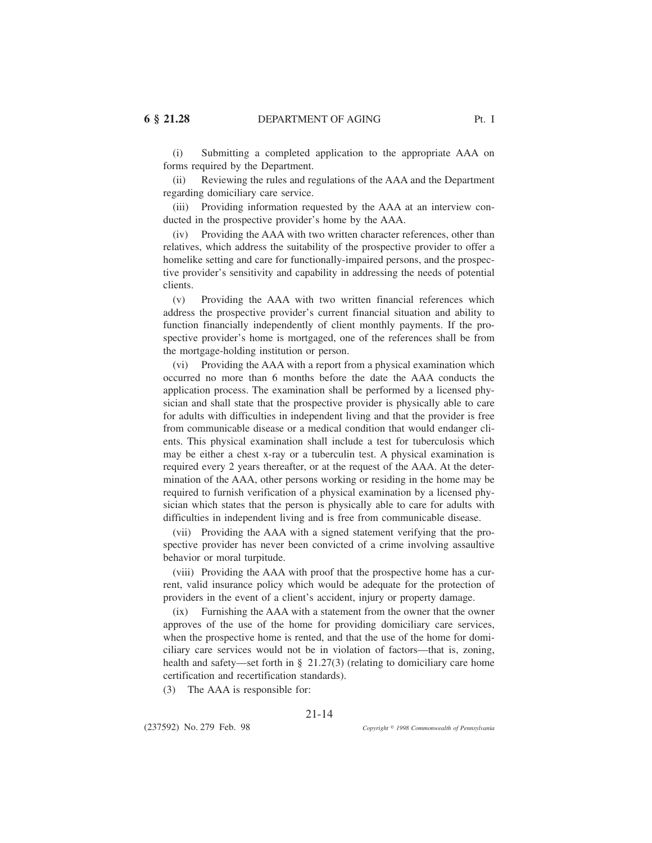(i) Submitting a completed application to the appropriate AAA on forms required by the Department.

(ii) Reviewing the rules and regulations of the AAA and the Department regarding domiciliary care service.

(iii) Providing information requested by the AAA at an interview conducted in the prospective provider's home by the AAA.

(iv) Providing the AAA with two written character references, other than relatives, which address the suitability of the prospective provider to offer a homelike setting and care for functionally-impaired persons, and the prospective provider's sensitivity and capability in addressing the needs of potential clients.

(v) Providing the AAA with two written financial references which address the prospective provider's current financial situation and ability to function financially independently of client monthly payments. If the prospective provider's home is mortgaged, one of the references shall be from the mortgage-holding institution or person.

(vi) Providing the AAA with a report from a physical examination which occurred no more than 6 months before the date the AAA conducts the application process. The examination shall be performed by a licensed physician and shall state that the prospective provider is physically able to care for adults with difficulties in independent living and that the provider is free from communicable disease or a medical condition that would endanger clients. This physical examination shall include a test for tuberculosis which may be either a chest x-ray or a tuberculin test. A physical examination is required every 2 years thereafter, or at the request of the AAA. At the determination of the AAA, other persons working or residing in the home may be required to furnish verification of a physical examination by a licensed physician which states that the person is physically able to care for adults with difficulties in independent living and is free from communicable disease.

(vii) Providing the AAA with a signed statement verifying that the prospective provider has never been convicted of a crime involving assaultive behavior or moral turpitude.

(viii) Providing the AAA with proof that the prospective home has a current, valid insurance policy which would be adequate for the protection of providers in the event of a client's accident, injury or property damage.

(ix) Furnishing the AAA with a statement from the owner that the owner approves of the use of the home for providing domiciliary care services, when the prospective home is rented, and that the use of the home for domiciliary care services would not be in violation of factors—that is, zoning, health and safety—set forth in § 21.27(3) (relating to domiciliary care home certification and recertification standards).

(3) The AAA is responsible for:

(237592) No. 279 Feb. 98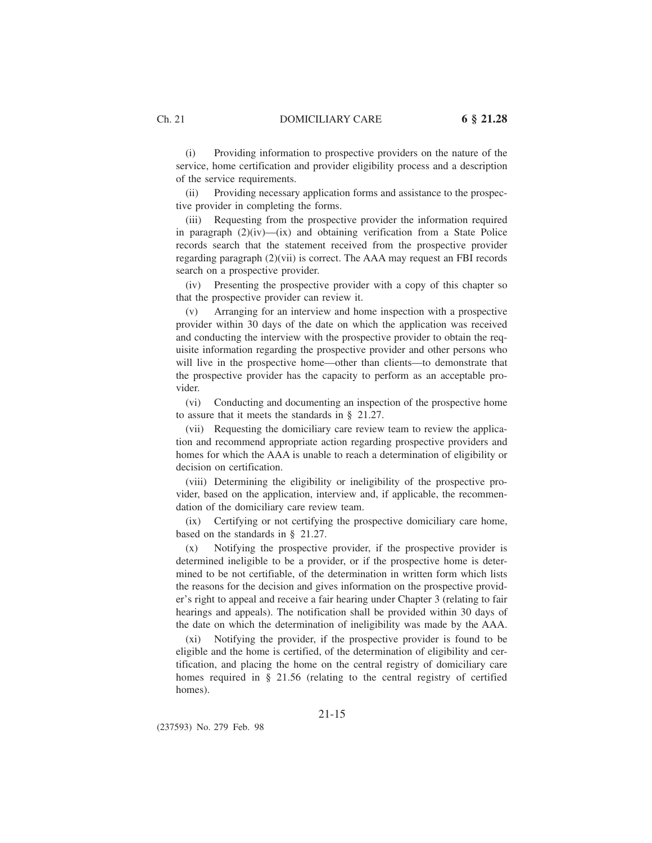(i) Providing information to prospective providers on the nature of the service, home certification and provider eligibility process and a description of the service requirements.

(ii) Providing necessary application forms and assistance to the prospective provider in completing the forms.

(iii) Requesting from the prospective provider the information required in paragraph  $(2)(iv)$ — $(ix)$  and obtaining verification from a State Police records search that the statement received from the prospective provider regarding paragraph (2)(vii) is correct. The AAA may request an FBI records search on a prospective provider.

(iv) Presenting the prospective provider with a copy of this chapter so that the prospective provider can review it.

(v) Arranging for an interview and home inspection with a prospective provider within 30 days of the date on which the application was received and conducting the interview with the prospective provider to obtain the requisite information regarding the prospective provider and other persons who will live in the prospective home—other than clients—to demonstrate that the prospective provider has the capacity to perform as an acceptable provider.

(vi) Conducting and documenting an inspection of the prospective home to assure that it meets the standards in § 21.27.

(vii) Requesting the domiciliary care review team to review the application and recommend appropriate action regarding prospective providers and homes for which the AAA is unable to reach a determination of eligibility or decision on certification.

(viii) Determining the eligibility or ineligibility of the prospective provider, based on the application, interview and, if applicable, the recommendation of the domiciliary care review team.

(ix) Certifying or not certifying the prospective domiciliary care home, based on the standards in § 21.27.

(x) Notifying the prospective provider, if the prospective provider is determined ineligible to be a provider, or if the prospective home is determined to be not certifiable, of the determination in written form which lists the reasons for the decision and gives information on the prospective provider's right to appeal and receive a fair hearing under Chapter 3 (relating to fair hearings and appeals). The notification shall be provided within 30 days of the date on which the determination of ineligibility was made by the AAA.

(xi) Notifying the provider, if the prospective provider is found to be eligible and the home is certified, of the determination of eligibility and certification, and placing the home on the central registry of domiciliary care homes required in § 21.56 (relating to the central registry of certified homes).

(237593) No. 279 Feb. 98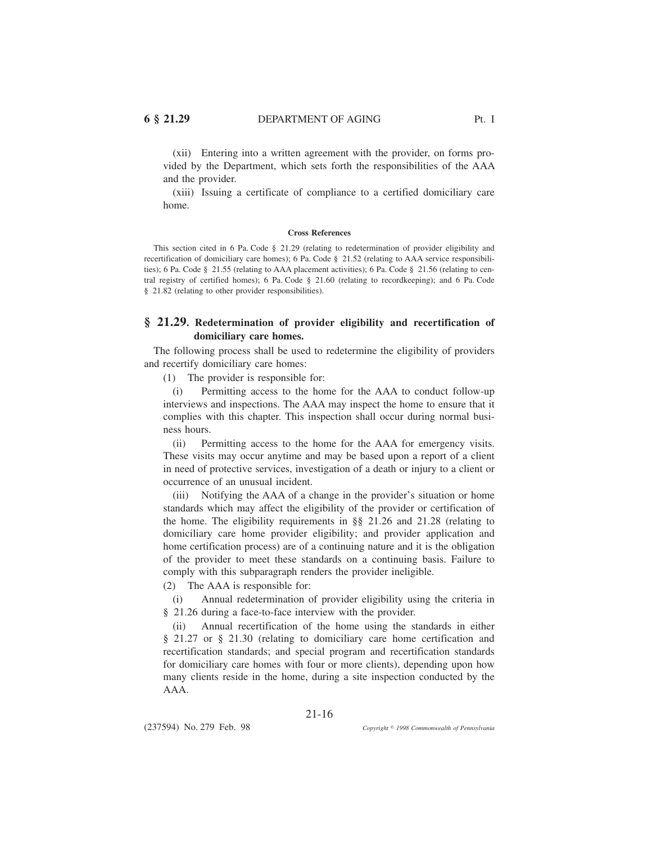(xii) Entering into a written agreement with the provider, on forms provided by the Department, which sets forth the responsibilities of the AAA and the provider.

(xiii) Issuing a certificate of compliance to a certified domiciliary care home.

#### **Cross References**

This section cited in 6 Pa. Code § 21.29 (relating to redetermination of provider eligibility and recertification of domiciliary care homes); 6 Pa. Code § 21.52 (relating to AAA service responsibilities); 6 Pa. Code § 21.55 (relating to AAA placement activities); 6 Pa. Code § 21.56 (relating to central registry of certified homes); 6 Pa. Code § 21.60 (relating to recordkeeping); and 6 Pa. Code § 21.82 (relating to other provider responsibilities).

### **§ 21.29. Redetermination of provider eligibility and recertification of domiciliary care homes.**

The following process shall be used to redetermine the eligibility of providers and recertify domiciliary care homes:

(1) The provider is responsible for:

(i) Permitting access to the home for the AAA to conduct follow-up interviews and inspections. The AAA may inspect the home to ensure that it complies with this chapter. This inspection shall occur during normal business hours.

(ii) Permitting access to the home for the AAA for emergency visits. These visits may occur anytime and may be based upon a report of a client in need of protective services, investigation of a death or injury to a client or occurrence of an unusual incident.

(iii) Notifying the AAA of a change in the provider's situation or home standards which may affect the eligibility of the provider or certification of the home. The eligibility requirements in §§ 21.26 and 21.28 (relating to domiciliary care home provider eligibility; and provider application and home certification process) are of a continuing nature and it is the obligation of the provider to meet these standards on a continuing basis. Failure to comply with this subparagraph renders the provider ineligible.

(2) The AAA is responsible for:

(i) Annual redetermination of provider eligibility using the criteria in § 21.26 during a face-to-face interview with the provider.

(ii) Annual recertification of the home using the standards in either § 21.27 or § 21.30 (relating to domiciliary care home certification and recertification standards; and special program and recertification standards for domiciliary care homes with four or more clients), depending upon how many clients reside in the home, during a site inspection conducted by the AAA.

21-16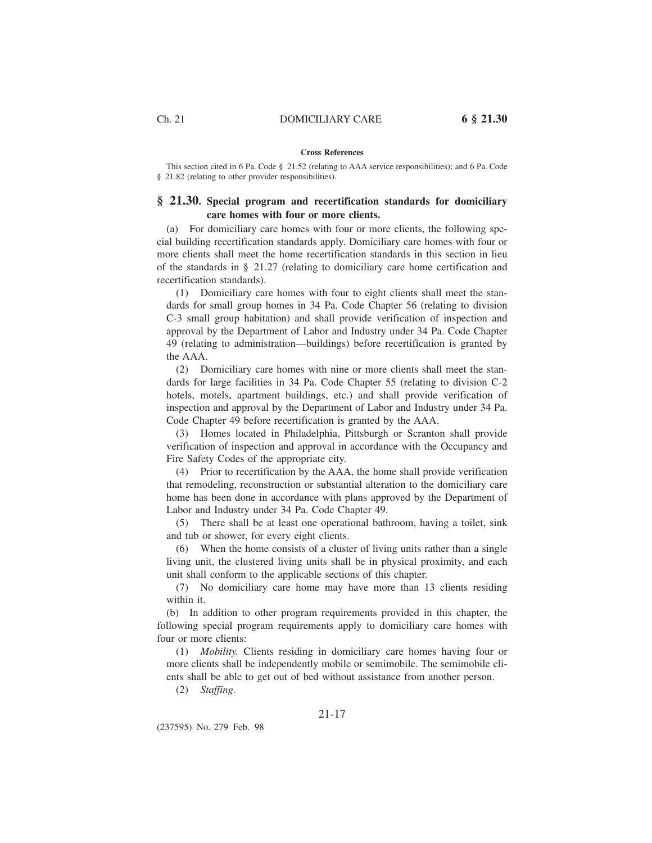# **Cross References**

This section cited in 6 Pa. Code § 21.52 (relating to AAA service responsibilities); and 6 Pa. Code § 21.82 (relating to other provider responsibilities).

### **§ 21.30. Special program and recertification standards for domiciliary care homes with four or more clients.**

(a) For domiciliary care homes with four or more clients, the following special building recertification standards apply. Domiciliary care homes with four or more clients shall meet the home recertification standards in this section in lieu of the standards in § 21.27 (relating to domiciliary care home certification and recertification standards).

(1) Domiciliary care homes with four to eight clients shall meet the standards for small group homes in 34 Pa. Code Chapter 56 (relating to division C-3 small group habitation) and shall provide verification of inspection and approval by the Department of Labor and Industry under 34 Pa. Code Chapter 49 (relating to administration—buildings) before recertification is granted by the AAA.

(2) Domiciliary care homes with nine or more clients shall meet the standards for large facilities in 34 Pa. Code Chapter 55 (relating to division C-2 hotels, motels, apartment buildings, etc.) and shall provide verification of inspection and approval by the Department of Labor and Industry under 34 Pa. Code Chapter 49 before recertification is granted by the AAA.

(3) Homes located in Philadelphia, Pittsburgh or Scranton shall provide verification of inspection and approval in accordance with the Occupancy and Fire Safety Codes of the appropriate city.

(4) Prior to recertification by the AAA, the home shall provide verification that remodeling, reconstruction or substantial alteration to the domiciliary care home has been done in accordance with plans approved by the Department of Labor and Industry under 34 Pa. Code Chapter 49.

(5) There shall be at least one operational bathroom, having a toilet, sink and tub or shower, for every eight clients.

(6) When the home consists of a cluster of living units rather than a single living unit, the clustered living units shall be in physical proximity, and each unit shall conform to the applicable sections of this chapter.

(7) No domiciliary care home may have more than 13 clients residing within it.

(b) In addition to other program requirements provided in this chapter, the following special program requirements apply to domiciliary care homes with four or more clients:

(1) *Mobility.* Clients residing in domiciliary care homes having four or more clients shall be independently mobile or semimobile. The semimobile clients shall be able to get out of bed without assistance from another person.

(2) *Staffing.*

### 21-17

(237595) No. 279 Feb. 98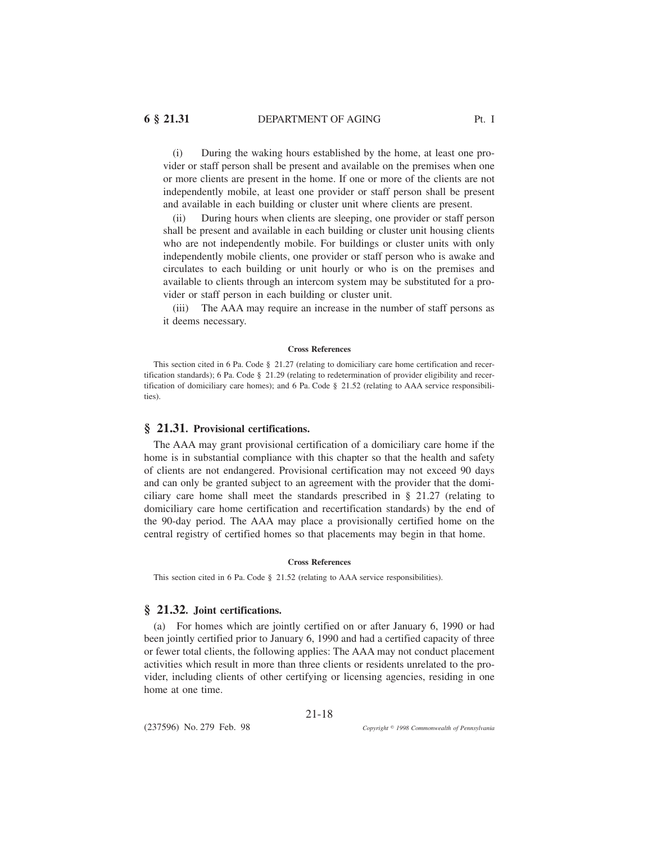(i) During the waking hours established by the home, at least one provider or staff person shall be present and available on the premises when one or more clients are present in the home. If one or more of the clients are not independently mobile, at least one provider or staff person shall be present and available in each building or cluster unit where clients are present.

(ii) During hours when clients are sleeping, one provider or staff person shall be present and available in each building or cluster unit housing clients who are not independently mobile. For buildings or cluster units with only independently mobile clients, one provider or staff person who is awake and circulates to each building or unit hourly or who is on the premises and available to clients through an intercom system may be substituted for a provider or staff person in each building or cluster unit.

The AAA may require an increase in the number of staff persons as it deems necessary.

#### **Cross References**

This section cited in 6 Pa. Code § 21.27 (relating to domiciliary care home certification and recertification standards); 6 Pa. Code § 21.29 (relating to redetermination of provider eligibility and recertification of domiciliary care homes); and 6 Pa. Code § 21.52 (relating to AAA service responsibilities).

#### **§ 21.31. Provisional certifications.**

The AAA may grant provisional certification of a domiciliary care home if the home is in substantial compliance with this chapter so that the health and safety of clients are not endangered. Provisional certification may not exceed 90 days and can only be granted subject to an agreement with the provider that the domiciliary care home shall meet the standards prescribed in § 21.27 (relating to domiciliary care home certification and recertification standards) by the end of the 90-day period. The AAA may place a provisionally certified home on the central registry of certified homes so that placements may begin in that home.

#### **Cross References**

This section cited in 6 Pa. Code § 21.52 (relating to AAA service responsibilities).

### **§ 21.32. Joint certifications.**

(a) For homes which are jointly certified on or after January 6, 1990 or had been jointly certified prior to January 6, 1990 and had a certified capacity of three or fewer total clients, the following applies: The AAA may not conduct placement activities which result in more than three clients or residents unrelated to the provider, including clients of other certifying or licensing agencies, residing in one home at one time.

21-18

(237596) No. 279 Feb. 98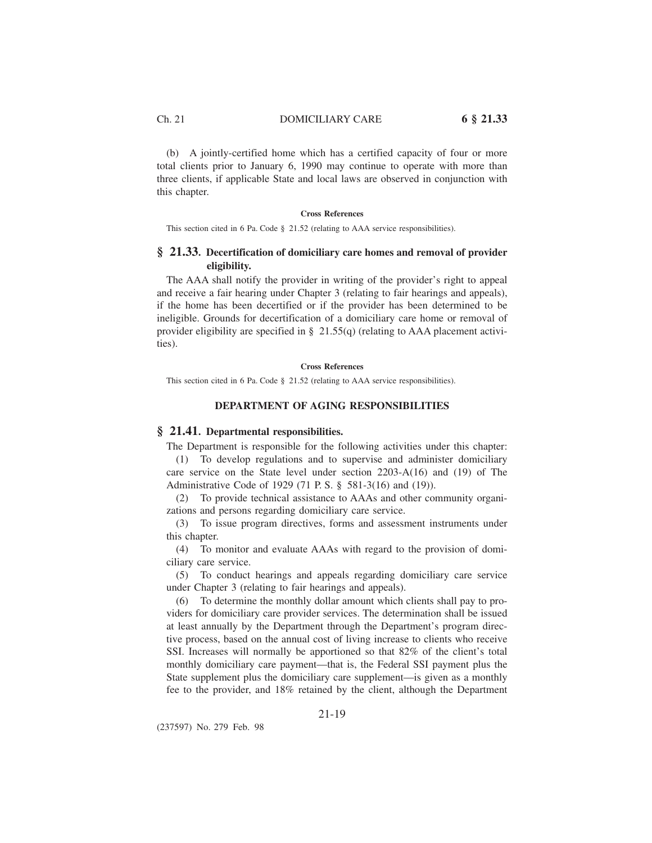(b) A jointly-certified home which has a certified capacity of four or more total clients prior to January 6, 1990 may continue to operate with more than three clients, if applicable State and local laws are observed in conjunction with this chapter.

#### **Cross References**

This section cited in 6 Pa. Code § 21.52 (relating to AAA service responsibilities).

### **§ 21.33. Decertification of domiciliary care homes and removal of provider eligibility.**

The AAA shall notify the provider in writing of the provider's right to appeal and receive a fair hearing under Chapter 3 (relating to fair hearings and appeals), if the home has been decertified or if the provider has been determined to be ineligible. Grounds for decertification of a domiciliary care home or removal of provider eligibility are specified in  $\S$  21.55(q) (relating to AAA placement activities).

#### **Cross References**

This section cited in 6 Pa. Code § 21.52 (relating to AAA service responsibilities).

### **DEPARTMENT OF AGING RESPONSIBILITIES**

#### **§ 21.41. Departmental responsibilities.**

The Department is responsible for the following activities under this chapter:

(1) To develop regulations and to supervise and administer domiciliary care service on the State level under section 2203-A(16) and (19) of The Administrative Code of 1929 (71 P. S. § 581-3(16) and (19)).

(2) To provide technical assistance to AAAs and other community organizations and persons regarding domiciliary care service.

(3) To issue program directives, forms and assessment instruments under this chapter.

(4) To monitor and evaluate AAAs with regard to the provision of domiciliary care service.

(5) To conduct hearings and appeals regarding domiciliary care service under Chapter 3 (relating to fair hearings and appeals).

(6) To determine the monthly dollar amount which clients shall pay to providers for domiciliary care provider services. The determination shall be issued at least annually by the Department through the Department's program directive process, based on the annual cost of living increase to clients who receive SSI. Increases will normally be apportioned so that 82% of the client's total monthly domiciliary care payment—that is, the Federal SSI payment plus the State supplement plus the domiciliary care supplement—is given as a monthly fee to the provider, and 18% retained by the client, although the Department

### 21-19

(237597) No. 279 Feb. 98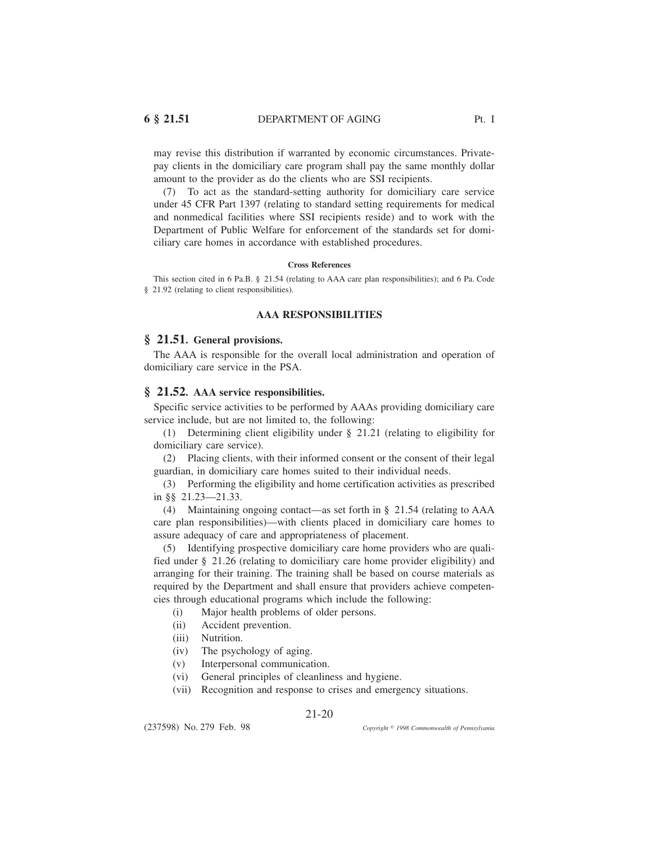may revise this distribution if warranted by economic circumstances. Privatepay clients in the domiciliary care program shall pay the same monthly dollar amount to the provider as do the clients who are SSI recipients.

(7) To act as the standard-setting authority for domiciliary care service under 45 CFR Part 1397 (relating to standard setting requirements for medical and nonmedical facilities where SSI recipients reside) and to work with the Department of Public Welfare for enforcement of the standards set for domiciliary care homes in accordance with established procedures.

#### **Cross References**

This section cited in 6 Pa.B. § 21.54 (relating to AAA care plan responsibilities); and 6 Pa. Code § 21.92 (relating to client responsibilities).

### **AAA RESPONSIBILITIES**

#### **§ 21.51. General provisions.**

The AAA is responsible for the overall local administration and operation of domiciliary care service in the PSA.

### **§ 21.52. AAA service responsibilities.**

Specific service activities to be performed by AAAs providing domiciliary care service include, but are not limited to, the following:

(1) Determining client eligibility under § 21.21 (relating to eligibility for domiciliary care service).

(2) Placing clients, with their informed consent or the consent of their legal guardian, in domiciliary care homes suited to their individual needs.

(3) Performing the eligibility and home certification activities as prescribed in §§ 21.23—21.33.

(4) Maintaining ongoing contact—as set forth in § 21.54 (relating to AAA care plan responsibilities)—with clients placed in domiciliary care homes to assure adequacy of care and appropriateness of placement.

(5) Identifying prospective domiciliary care home providers who are qualified under § 21.26 (relating to domiciliary care home provider eligibility) and arranging for their training. The training shall be based on course materials as required by the Department and shall ensure that providers achieve competencies through educational programs which include the following:

(i) Major health problems of older persons.

- (ii) Accident prevention.
- (iii) Nutrition.
- (iv) The psychology of aging.
- (v) Interpersonal communication.
- (vi) General principles of cleanliness and hygiene.
- (vii) Recognition and response to crises and emergency situations.

21-20

(237598) No. 279 Feb. 98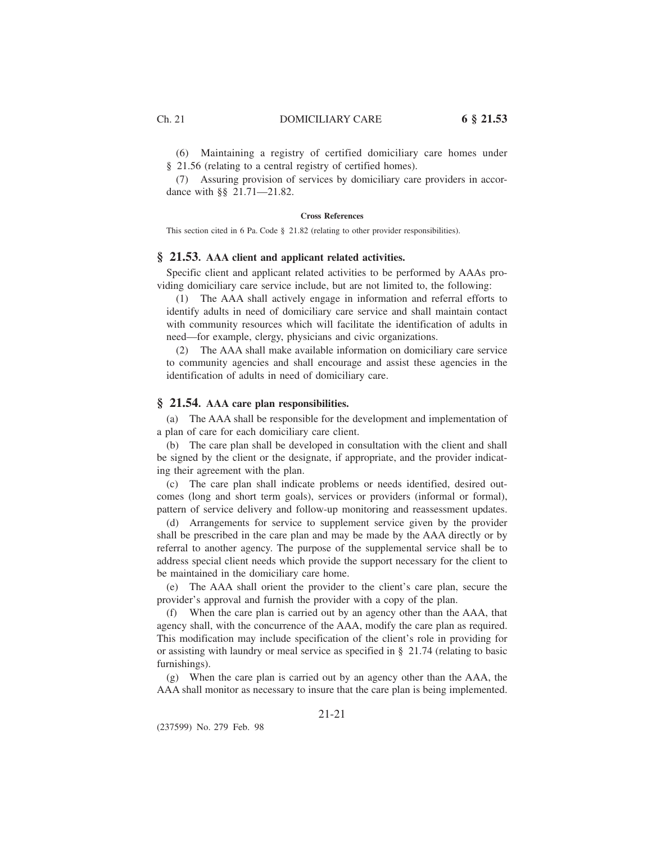(6) Maintaining a registry of certified domiciliary care homes under § 21.56 (relating to a central registry of certified homes).

(7) Assuring provision of services by domiciliary care providers in accordance with §§ 21.71—21.82.

#### **Cross References**

This section cited in 6 Pa. Code § 21.82 (relating to other provider responsibilities).

### **§ 21.53. AAA client and applicant related activities.**

Specific client and applicant related activities to be performed by AAAs providing domiciliary care service include, but are not limited to, the following:

(1) The AAA shall actively engage in information and referral efforts to identify adults in need of domiciliary care service and shall maintain contact with community resources which will facilitate the identification of adults in need—for example, clergy, physicians and civic organizations.

(2) The AAA shall make available information on domiciliary care service to community agencies and shall encourage and assist these agencies in the identification of adults in need of domiciliary care.

### **§ 21.54. AAA care plan responsibilities.**

(a) The AAA shall be responsible for the development and implementation of a plan of care for each domiciliary care client.

(b) The care plan shall be developed in consultation with the client and shall be signed by the client or the designate, if appropriate, and the provider indicating their agreement with the plan.

(c) The care plan shall indicate problems or needs identified, desired outcomes (long and short term goals), services or providers (informal or formal), pattern of service delivery and follow-up monitoring and reassessment updates.

(d) Arrangements for service to supplement service given by the provider shall be prescribed in the care plan and may be made by the AAA directly or by referral to another agency. The purpose of the supplemental service shall be to address special client needs which provide the support necessary for the client to be maintained in the domiciliary care home.

(e) The AAA shall orient the provider to the client's care plan, secure the provider's approval and furnish the provider with a copy of the plan.

(f) When the care plan is carried out by an agency other than the AAA, that agency shall, with the concurrence of the AAA, modify the care plan as required. This modification may include specification of the client's role in providing for or assisting with laundry or meal service as specified in § 21.74 (relating to basic furnishings).

(g) When the care plan is carried out by an agency other than the AAA, the AAA shall monitor as necessary to insure that the care plan is being implemented.

(237599) No. 279 Feb. 98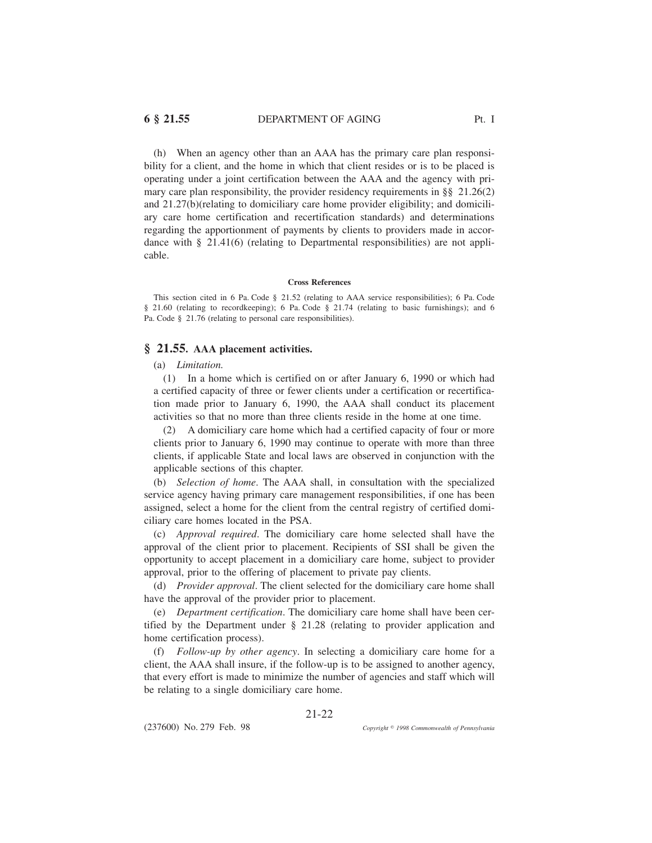(h) When an agency other than an AAA has the primary care plan responsibility for a client, and the home in which that client resides or is to be placed is operating under a joint certification between the AAA and the agency with primary care plan responsibility, the provider residency requirements in  $\S$  21.26(2) and 21.27(b)(relating to domiciliary care home provider eligibility; and domiciliary care home certification and recertification standards) and determinations regarding the apportionment of payments by clients to providers made in accordance with  $\S$  21.41(6) (relating to Departmental responsibilities) are not applicable.

#### **Cross References**

This section cited in 6 Pa. Code § 21.52 (relating to AAA service responsibilities); 6 Pa. Code § 21.60 (relating to recordkeeping); 6 Pa. Code § 21.74 (relating to basic furnishings); and 6 Pa. Code § 21.76 (relating to personal care responsibilities).

### **§ 21.55. AAA placement activities.**

#### (a) *Limitation.*

(1) In a home which is certified on or after January 6, 1990 or which had a certified capacity of three or fewer clients under a certification or recertification made prior to January 6, 1990, the AAA shall conduct its placement activities so that no more than three clients reside in the home at one time.

(2) A domiciliary care home which had a certified capacity of four or more clients prior to January 6, 1990 may continue to operate with more than three clients, if applicable State and local laws are observed in conjunction with the applicable sections of this chapter.

(b) *Selection of home*. The AAA shall, in consultation with the specialized service agency having primary care management responsibilities, if one has been assigned, select a home for the client from the central registry of certified domiciliary care homes located in the PSA.

(c) *Approval required*. The domiciliary care home selected shall have the approval of the client prior to placement. Recipients of SSI shall be given the opportunity to accept placement in a domiciliary care home, subject to provider approval, prior to the offering of placement to private pay clients.

(d) *Provider approval*. The client selected for the domiciliary care home shall have the approval of the provider prior to placement.

(e) *Department certification*. The domiciliary care home shall have been certified by the Department under § 21.28 (relating to provider application and home certification process).

(f) *Follow-up by other agency*. In selecting a domiciliary care home for a client, the AAA shall insure, if the follow-up is to be assigned to another agency, that every effort is made to minimize the number of agencies and staff which will be relating to a single domiciliary care home.

21-22

(237600) No. 279 Feb. 98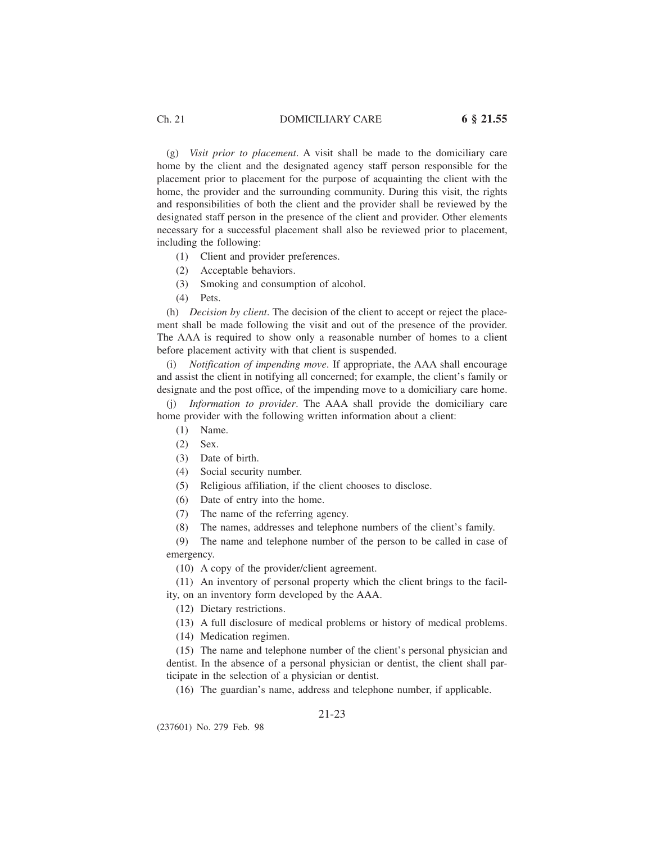### Ch. 21 DOMICILIARY CARE **6 § 21.55**

(g) *Visit prior to placement*. A visit shall be made to the domiciliary care home by the client and the designated agency staff person responsible for the placement prior to placement for the purpose of acquainting the client with the home, the provider and the surrounding community. During this visit, the rights and responsibilities of both the client and the provider shall be reviewed by the designated staff person in the presence of the client and provider. Other elements necessary for a successful placement shall also be reviewed prior to placement, including the following:

- (1) Client and provider preferences.
- (2) Acceptable behaviors.
- (3) Smoking and consumption of alcohol.
- (4) Pets.

(h) *Decision by client*. The decision of the client to accept or reject the placement shall be made following the visit and out of the presence of the provider. The AAA is required to show only a reasonable number of homes to a client before placement activity with that client is suspended.

(i) *Notification of impending move*. If appropriate, the AAA shall encourage and assist the client in notifying all concerned; for example, the client's family or designate and the post office, of the impending move to a domiciliary care home.

Information to provider. The AAA shall provide the domiciliary care home provider with the following written information about a client:

- (1) Name.
- (2) Sex.

(3) Date of birth.

- (4) Social security number.
- (5) Religious affiliation, if the client chooses to disclose.
- (6) Date of entry into the home.
- (7) The name of the referring agency.
- (8) The names, addresses and telephone numbers of the client's family.

(9) The name and telephone number of the person to be called in case of emergency.

(10) A copy of the provider/client agreement.

(11) An inventory of personal property which the client brings to the facility, on an inventory form developed by the AAA.

(12) Dietary restrictions.

(13) A full disclosure of medical problems or history of medical problems.

(14) Medication regimen.

(15) The name and telephone number of the client's personal physician and dentist. In the absence of a personal physician or dentist, the client shall participate in the selection of a physician or dentist.

(16) The guardian's name, address and telephone number, if applicable.

### 21-23

(237601) No. 279 Feb. 98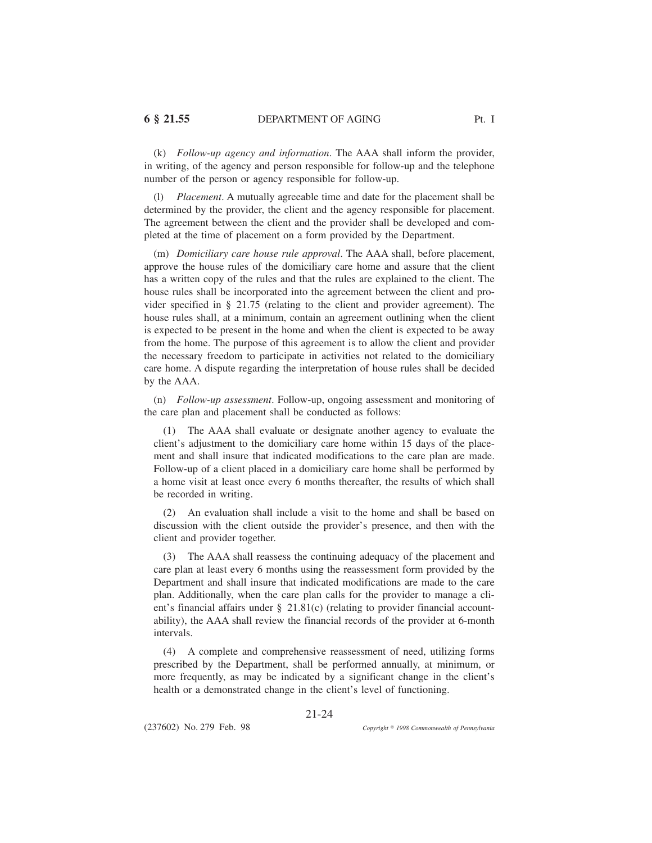(k) *Follow-up agency and information*. The AAA shall inform the provider, in writing, of the agency and person responsible for follow-up and the telephone number of the person or agency responsible for follow-up.

(l) *Placement*. A mutually agreeable time and date for the placement shall be determined by the provider, the client and the agency responsible for placement. The agreement between the client and the provider shall be developed and completed at the time of placement on a form provided by the Department.

(m) *Domiciliary care house rule approval*. The AAA shall, before placement, approve the house rules of the domiciliary care home and assure that the client has a written copy of the rules and that the rules are explained to the client. The house rules shall be incorporated into the agreement between the client and provider specified in § 21.75 (relating to the client and provider agreement). The house rules shall, at a minimum, contain an agreement outlining when the client is expected to be present in the home and when the client is expected to be away from the home. The purpose of this agreement is to allow the client and provider the necessary freedom to participate in activities not related to the domiciliary care home. A dispute regarding the interpretation of house rules shall be decided by the AAA.

(n) *Follow-up assessment*. Follow-up, ongoing assessment and monitoring of the care plan and placement shall be conducted as follows:

(1) The AAA shall evaluate or designate another agency to evaluate the client's adjustment to the domiciliary care home within 15 days of the placement and shall insure that indicated modifications to the care plan are made. Follow-up of a client placed in a domiciliary care home shall be performed by a home visit at least once every 6 months thereafter, the results of which shall be recorded in writing.

(2) An evaluation shall include a visit to the home and shall be based on discussion with the client outside the provider's presence, and then with the client and provider together.

(3) The AAA shall reassess the continuing adequacy of the placement and care plan at least every 6 months using the reassessment form provided by the Department and shall insure that indicated modifications are made to the care plan. Additionally, when the care plan calls for the provider to manage a client's financial affairs under § 21.81(c) (relating to provider financial accountability), the AAA shall review the financial records of the provider at 6-month intervals.

(4) A complete and comprehensive reassessment of need, utilizing forms prescribed by the Department, shall be performed annually, at minimum, or more frequently, as may be indicated by a significant change in the client's health or a demonstrated change in the client's level of functioning.

21-24

(237602) No. 279 Feb. 98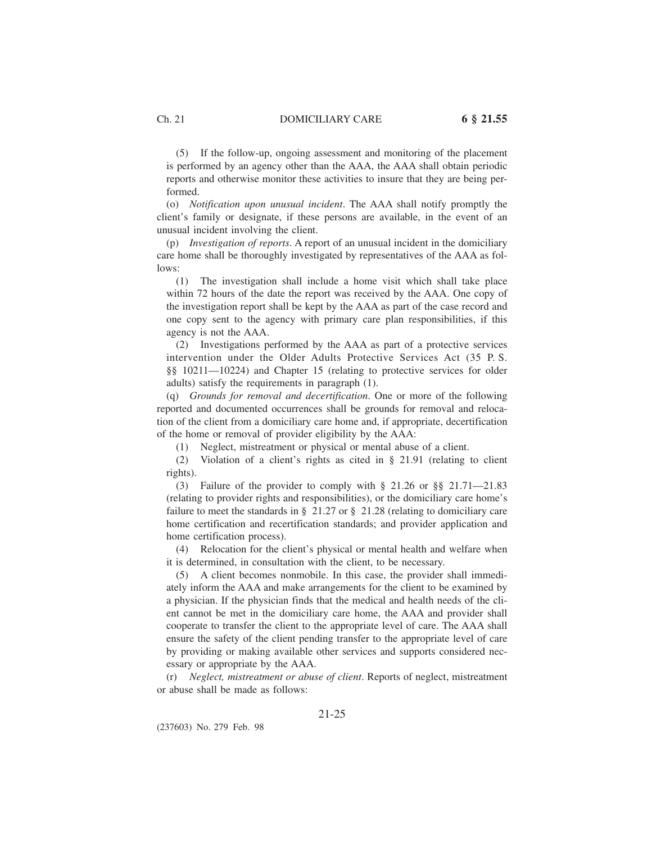(5) If the follow-up, ongoing assessment and monitoring of the placement is performed by an agency other than the AAA, the AAA shall obtain periodic reports and otherwise monitor these activities to insure that they are being performed.

(o) *Notification upon unusual incident*. The AAA shall notify promptly the client's family or designate, if these persons are available, in the event of an unusual incident involving the client.

(p) *Investigation of reports*. A report of an unusual incident in the domiciliary care home shall be thoroughly investigated by representatives of the AAA as follows:

(1) The investigation shall include a home visit which shall take place within 72 hours of the date the report was received by the AAA. One copy of the investigation report shall be kept by the AAA as part of the case record and one copy sent to the agency with primary care plan responsibilities, if this agency is not the AAA.

(2) Investigations performed by the AAA as part of a protective services intervention under the Older Adults Protective Services Act (35 P. S. §§ 10211—10224) and Chapter 15 (relating to protective services for older adults) satisfy the requirements in paragraph (1).

(q) *Grounds for removal and decertification*. One or more of the following reported and documented occurrences shall be grounds for removal and relocation of the client from a domiciliary care home and, if appropriate, decertification of the home or removal of provider eligibility by the AAA:

(1) Neglect, mistreatment or physical or mental abuse of a client.

(2) Violation of a client's rights as cited in § 21.91 (relating to client rights).

(3) Failure of the provider to comply with § 21.26 or §§ 21.71—21.83 (relating to provider rights and responsibilities), or the domiciliary care home's failure to meet the standards in  $\S$  21.27 or  $\S$  21.28 (relating to domiciliary care home certification and recertification standards; and provider application and home certification process).

(4) Relocation for the client's physical or mental health and welfare when it is determined, in consultation with the client, to be necessary.

(5) A client becomes nonmobile. In this case, the provider shall immediately inform the AAA and make arrangements for the client to be examined by a physician. If the physician finds that the medical and health needs of the client cannot be met in the domiciliary care home, the AAA and provider shall cooperate to transfer the client to the appropriate level of care. The AAA shall ensure the safety of the client pending transfer to the appropriate level of care by providing or making available other services and supports considered necessary or appropriate by the AAA.

(r) *Neglect, mistreatment or abuse of client*. Reports of neglect, mistreatment or abuse shall be made as follows:

21-25

(237603) No. 279 Feb. 98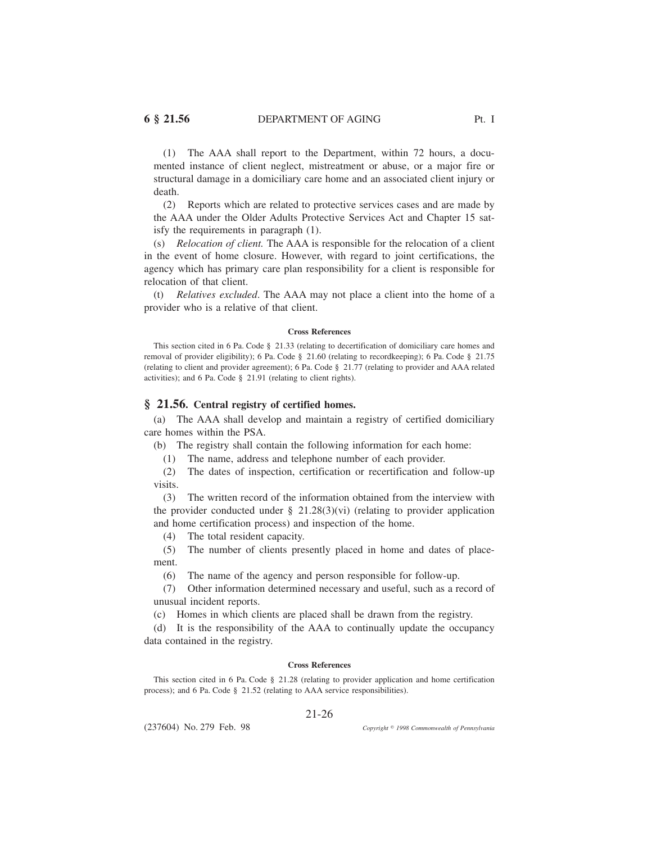(1) The AAA shall report to the Department, within 72 hours, a documented instance of client neglect, mistreatment or abuse, or a major fire or structural damage in a domiciliary care home and an associated client injury or death.

(2) Reports which are related to protective services cases and are made by the AAA under the Older Adults Protective Services Act and Chapter 15 satisfy the requirements in paragraph (1).

(s) *Relocation of client.* The AAA is responsible for the relocation of a client in the event of home closure. However, with regard to joint certifications, the agency which has primary care plan responsibility for a client is responsible for relocation of that client.

(t) *Relatives excluded*. The AAA may not place a client into the home of a provider who is a relative of that client.

#### **Cross References**

This section cited in 6 Pa. Code § 21.33 (relating to decertification of domiciliary care homes and removal of provider eligibility); 6 Pa. Code § 21.60 (relating to recordkeeping); 6 Pa. Code § 21.75 (relating to client and provider agreement); 6 Pa. Code § 21.77 (relating to provider and AAA related activities); and 6 Pa. Code § 21.91 (relating to client rights).

#### **§ 21.56. Central registry of certified homes.**

(a) The AAA shall develop and maintain a registry of certified domiciliary care homes within the PSA.

(b) The registry shall contain the following information for each home:

(1) The name, address and telephone number of each provider.

(2) The dates of inspection, certification or recertification and follow-up visits.

(3) The written record of the information obtained from the interview with the provider conducted under  $\S$  21.28(3)(vi) (relating to provider application and home certification process) and inspection of the home.

(4) The total resident capacity.

(5) The number of clients presently placed in home and dates of placement.

(6) The name of the agency and person responsible for follow-up.

(7) Other information determined necessary and useful, such as a record of unusual incident reports.

(c) Homes in which clients are placed shall be drawn from the registry.

(d) It is the responsibility of the AAA to continually update the occupancy data contained in the registry.

#### **Cross References**

This section cited in 6 Pa. Code § 21.28 (relating to provider application and home certification process); and 6 Pa. Code § 21.52 (relating to AAA service responsibilities).

#### 21-26

(237604) No. 279 Feb. 98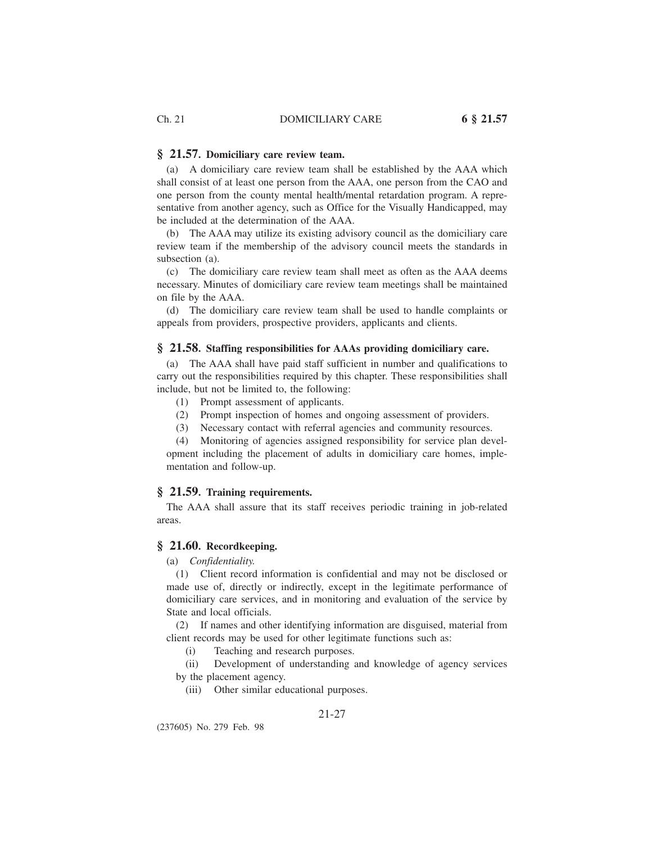#### **§ 21.57. Domiciliary care review team.**

(a) A domiciliary care review team shall be established by the AAA which shall consist of at least one person from the AAA, one person from the CAO and one person from the county mental health/mental retardation program. A representative from another agency, such as Office for the Visually Handicapped, may be included at the determination of the AAA.

(b) The AAA may utilize its existing advisory council as the domiciliary care review team if the membership of the advisory council meets the standards in subsection (a).

(c) The domiciliary care review team shall meet as often as the AAA deems necessary. Minutes of domiciliary care review team meetings shall be maintained on file by the AAA.

(d) The domiciliary care review team shall be used to handle complaints or appeals from providers, prospective providers, applicants and clients.

### **§ 21.58. Staffing responsibilities for AAAs providing domiciliary care.**

(a) The AAA shall have paid staff sufficient in number and qualifications to carry out the responsibilities required by this chapter. These responsibilities shall include, but not be limited to, the following:

- (1) Prompt assessment of applicants.
- (2) Prompt inspection of homes and ongoing assessment of providers.
- (3) Necessary contact with referral agencies and community resources.

(4) Monitoring of agencies assigned responsibility for service plan development including the placement of adults in domiciliary care homes, implementation and follow-up.

#### **§ 21.59. Training requirements.**

The AAA shall assure that its staff receives periodic training in job-related areas.

### **§ 21.60. Recordkeeping.**

(a) *Confidentiality.*

(1) Client record information is confidential and may not be disclosed or made use of, directly or indirectly, except in the legitimate performance of domiciliary care services, and in monitoring and evaluation of the service by State and local officials.

(2) If names and other identifying information are disguised, material from client records may be used for other legitimate functions such as:

(i) Teaching and research purposes.

(ii) Development of understanding and knowledge of agency services by the placement agency.

(iii) Other similar educational purposes.

21-27

(237605) No. 279 Feb. 98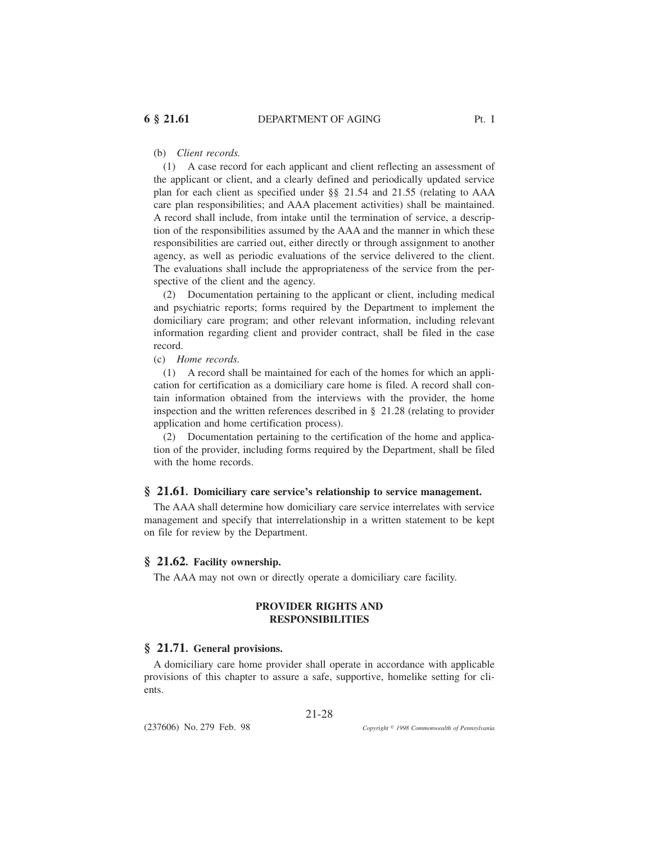### (b) *Client records.*

(1) A case record for each applicant and client reflecting an assessment of the applicant or client, and a clearly defined and periodically updated service plan for each client as specified under §§ 21.54 and 21.55 (relating to AAA care plan responsibilities; and AAA placement activities) shall be maintained. A record shall include, from intake until the termination of service, a description of the responsibilities assumed by the AAA and the manner in which these responsibilities are carried out, either directly or through assignment to another agency, as well as periodic evaluations of the service delivered to the client. The evaluations shall include the appropriateness of the service from the perspective of the client and the agency.

(2) Documentation pertaining to the applicant or client, including medical and psychiatric reports; forms required by the Department to implement the domiciliary care program; and other relevant information, including relevant information regarding client and provider contract, shall be filed in the case record.

(c) *Home records.*

(1) A record shall be maintained for each of the homes for which an application for certification as a domiciliary care home is filed. A record shall contain information obtained from the interviews with the provider, the home inspection and the written references described in § 21.28 (relating to provider application and home certification process).

(2) Documentation pertaining to the certification of the home and application of the provider, including forms required by the Department, shall be filed with the home records.

### **§ 21.61. Domiciliary care service's relationship to service management.**

The AAA shall determine how domiciliary care service interrelates with service management and specify that interrelationship in a written statement to be kept on file for review by the Department.

#### **§ 21.62. Facility ownership.**

The AAA may not own or directly operate a domiciliary care facility.

#### **PROVIDER RIGHTS AND RESPONSIBILITIES**

### **§ 21.71. General provisions.**

A domiciliary care home provider shall operate in accordance with applicable provisions of this chapter to assure a safe, supportive, homelike setting for clients.

21-28

(237606) No. 279 Feb. 98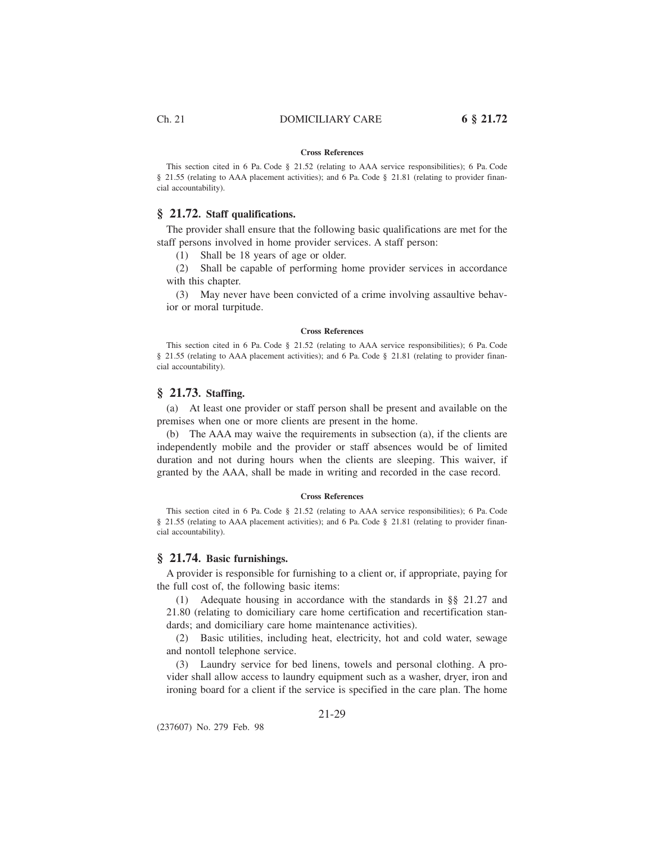#### **Cross References**

This section cited in 6 Pa. Code § 21.52 (relating to AAA service responsibilities); 6 Pa. Code § 21.55 (relating to AAA placement activities); and 6 Pa. Code § 21.81 (relating to provider financial accountability).

### **§ 21.72. Staff qualifications.**

The provider shall ensure that the following basic qualifications are met for the staff persons involved in home provider services. A staff person:

(1) Shall be 18 years of age or older.

(2) Shall be capable of performing home provider services in accordance with this chapter.

(3) May never have been convicted of a crime involving assaultive behavior or moral turpitude.

#### **Cross References**

This section cited in 6 Pa. Code § 21.52 (relating to AAA service responsibilities); 6 Pa. Code § 21.55 (relating to AAA placement activities); and 6 Pa. Code § 21.81 (relating to provider financial accountability).

### **§ 21.73. Staffing.**

(a) At least one provider or staff person shall be present and available on the premises when one or more clients are present in the home.

(b) The AAA may waive the requirements in subsection (a), if the clients are independently mobile and the provider or staff absences would be of limited duration and not during hours when the clients are sleeping. This waiver, if granted by the AAA, shall be made in writing and recorded in the case record.

#### **Cross References**

This section cited in 6 Pa. Code § 21.52 (relating to AAA service responsibilities); 6 Pa. Code § 21.55 (relating to AAA placement activities); and 6 Pa. Code § 21.81 (relating to provider financial accountability).

#### **§ 21.74. Basic furnishings.**

A provider is responsible for furnishing to a client or, if appropriate, paying for the full cost of, the following basic items:

(1) Adequate housing in accordance with the standards in §§ 21.27 and 21.80 (relating to domiciliary care home certification and recertification standards; and domiciliary care home maintenance activities).

(2) Basic utilities, including heat, electricity, hot and cold water, sewage and nontoll telephone service.

(3) Laundry service for bed linens, towels and personal clothing. A provider shall allow access to laundry equipment such as a washer, dryer, iron and ironing board for a client if the service is specified in the care plan. The home

(237607) No. 279 Feb. 98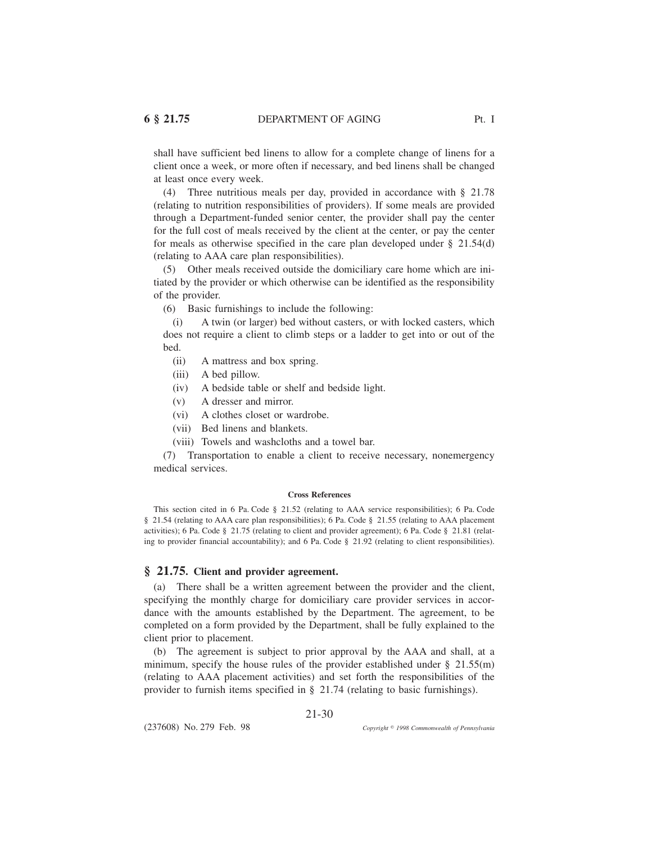shall have sufficient bed linens to allow for a complete change of linens for a client once a week, or more often if necessary, and bed linens shall be changed at least once every week.

(4) Three nutritious meals per day, provided in accordance with § 21.78 (relating to nutrition responsibilities of providers). If some meals are provided through a Department-funded senior center, the provider shall pay the center for the full cost of meals received by the client at the center, or pay the center for meals as otherwise specified in the care plan developed under § 21.54(d) (relating to AAA care plan responsibilities).

(5) Other meals received outside the domiciliary care home which are initiated by the provider or which otherwise can be identified as the responsibility of the provider.

(6) Basic furnishings to include the following:

(i) A twin (or larger) bed without casters, or with locked casters, which does not require a client to climb steps or a ladder to get into or out of the bed.

- (ii) A mattress and box spring.
- (iii) A bed pillow.
- (iv) A bedside table or shelf and bedside light.
- (v) A dresser and mirror.
- (vi) A clothes closet or wardrobe.
- (vii) Bed linens and blankets.
- (viii) Towels and washcloths and a towel bar.

(7) Transportation to enable a client to receive necessary, nonemergency medical services.

#### **Cross References**

This section cited in 6 Pa. Code § 21.52 (relating to AAA service responsibilities); 6 Pa. Code § 21.54 (relating to AAA care plan responsibilities); 6 Pa. Code § 21.55 (relating to AAA placement activities); 6 Pa. Code § 21.75 (relating to client and provider agreement); 6 Pa. Code § 21.81 (relating to provider financial accountability); and 6 Pa. Code § 21.92 (relating to client responsibilities).

#### **§ 21.75. Client and provider agreement.**

(a) There shall be a written agreement between the provider and the client, specifying the monthly charge for domiciliary care provider services in accordance with the amounts established by the Department. The agreement, to be completed on a form provided by the Department, shall be fully explained to the client prior to placement.

(b) The agreement is subject to prior approval by the AAA and shall, at a minimum, specify the house rules of the provider established under § 21.55(m) (relating to AAA placement activities) and set forth the responsibilities of the provider to furnish items specified in § 21.74 (relating to basic furnishings).

21-30

(237608) No. 279 Feb. 98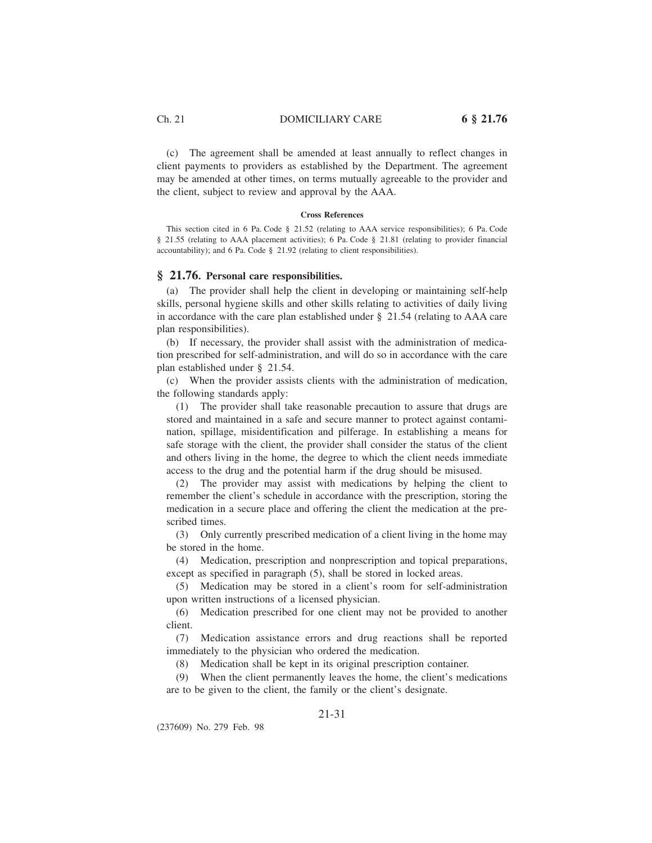(c) The agreement shall be amended at least annually to reflect changes in client payments to providers as established by the Department. The agreement may be amended at other times, on terms mutually agreeable to the provider and the client, subject to review and approval by the AAA.

#### **Cross References**

This section cited in 6 Pa. Code § 21.52 (relating to AAA service responsibilities); 6 Pa. Code § 21.55 (relating to AAA placement activities); 6 Pa. Code § 21.81 (relating to provider financial accountability); and 6 Pa. Code § 21.92 (relating to client responsibilities).

### **§ 21.76. Personal care responsibilities.**

(a) The provider shall help the client in developing or maintaining self-help skills, personal hygiene skills and other skills relating to activities of daily living in accordance with the care plan established under § 21.54 (relating to AAA care plan responsibilities).

(b) If necessary, the provider shall assist with the administration of medication prescribed for self-administration, and will do so in accordance with the care plan established under § 21.54.

(c) When the provider assists clients with the administration of medication, the following standards apply:

(1) The provider shall take reasonable precaution to assure that drugs are stored and maintained in a safe and secure manner to protect against contamination, spillage, misidentification and pilferage. In establishing a means for safe storage with the client, the provider shall consider the status of the client and others living in the home, the degree to which the client needs immediate access to the drug and the potential harm if the drug should be misused.

(2) The provider may assist with medications by helping the client to remember the client's schedule in accordance with the prescription, storing the medication in a secure place and offering the client the medication at the prescribed times.

(3) Only currently prescribed medication of a client living in the home may be stored in the home.

(4) Medication, prescription and nonprescription and topical preparations, except as specified in paragraph (5), shall be stored in locked areas.

(5) Medication may be stored in a client's room for self-administration upon written instructions of a licensed physician.

(6) Medication prescribed for one client may not be provided to another client.

(7) Medication assistance errors and drug reactions shall be reported immediately to the physician who ordered the medication.

(8) Medication shall be kept in its original prescription container.

(9) When the client permanently leaves the home, the client's medications are to be given to the client, the family or the client's designate.

### 21-31

(237609) No. 279 Feb. 98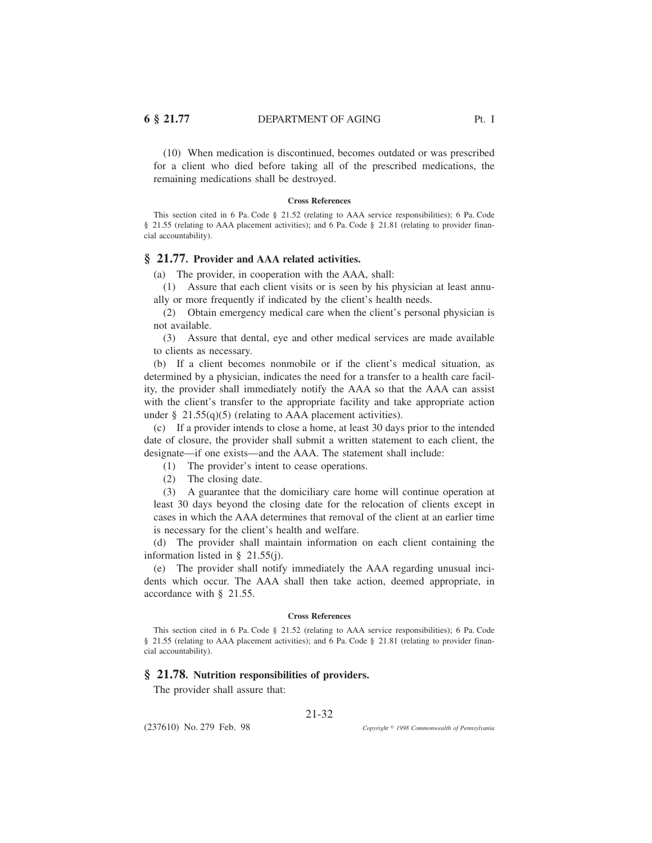(10) When medication is discontinued, becomes outdated or was prescribed for a client who died before taking all of the prescribed medications, the remaining medications shall be destroyed.

#### **Cross References**

This section cited in 6 Pa. Code § 21.52 (relating to AAA service responsibilities); 6 Pa. Code § 21.55 (relating to AAA placement activities); and 6 Pa. Code § 21.81 (relating to provider financial accountability).

### **§ 21.77. Provider and AAA related activities.**

(a) The provider, in cooperation with the AAA, shall:

(1) Assure that each client visits or is seen by his physician at least annually or more frequently if indicated by the client's health needs.

(2) Obtain emergency medical care when the client's personal physician is not available.

(3) Assure that dental, eye and other medical services are made available to clients as necessary.

(b) If a client becomes nonmobile or if the client's medical situation, as determined by a physician, indicates the need for a transfer to a health care facility, the provider shall immediately notify the AAA so that the AAA can assist with the client's transfer to the appropriate facility and take appropriate action under  $\S$  21.55(q)(5) (relating to AAA placement activities).

(c) If a provider intends to close a home, at least 30 days prior to the intended date of closure, the provider shall submit a written statement to each client, the designate—if one exists—and the AAA. The statement shall include:

(1) The provider's intent to cease operations.

(2) The closing date.

(3) A guarantee that the domiciliary care home will continue operation at least 30 days beyond the closing date for the relocation of clients except in cases in which the AAA determines that removal of the client at an earlier time is necessary for the client's health and welfare.

(d) The provider shall maintain information on each client containing the information listed in § 21.55(j).

(e) The provider shall notify immediately the AAA regarding unusual incidents which occur. The AAA shall then take action, deemed appropriate, in accordance with § 21.55.

#### **Cross References**

This section cited in 6 Pa. Code § 21.52 (relating to AAA service responsibilities); 6 Pa. Code § 21.55 (relating to AAA placement activities); and 6 Pa. Code § 21.81 (relating to provider financial accountability).

#### **§ 21.78. Nutrition responsibilities of providers.**

The provider shall assure that:

(237610) No. 279 Feb. 98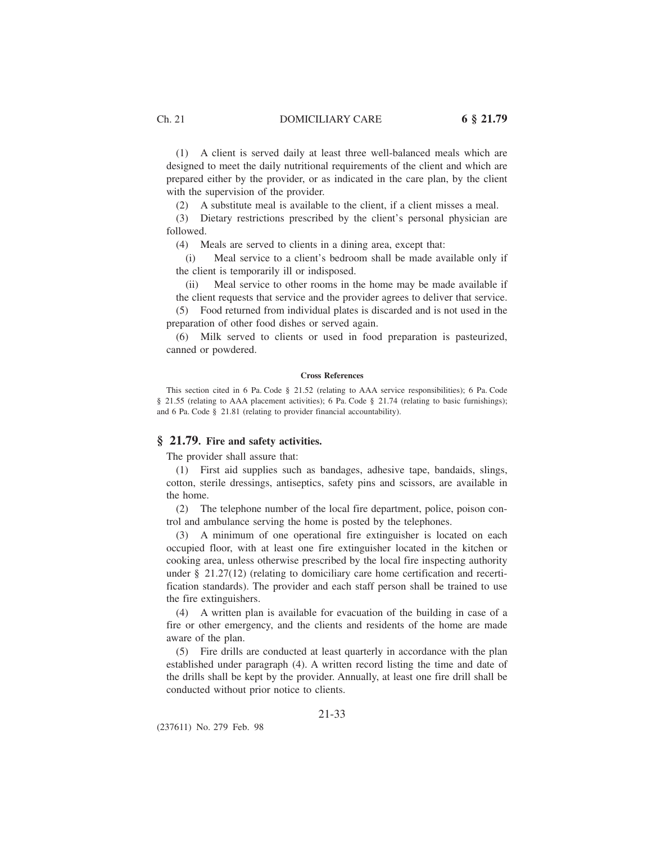(1) A client is served daily at least three well-balanced meals which are designed to meet the daily nutritional requirements of the client and which are prepared either by the provider, or as indicated in the care plan, by the client with the supervision of the provider.

(2) A substitute meal is available to the client, if a client misses a meal.

(3) Dietary restrictions prescribed by the client's personal physician are followed.

(4) Meals are served to clients in a dining area, except that:

(i) Meal service to a client's bedroom shall be made available only if the client is temporarily ill or indisposed.

(ii) Meal service to other rooms in the home may be made available if the client requests that service and the provider agrees to deliver that service.

(5) Food returned from individual plates is discarded and is not used in the preparation of other food dishes or served again.

(6) Milk served to clients or used in food preparation is pasteurized, canned or powdered.

#### **Cross References**

This section cited in 6 Pa. Code § 21.52 (relating to AAA service responsibilities); 6 Pa. Code § 21.55 (relating to AAA placement activities); 6 Pa. Code § 21.74 (relating to basic furnishings); and 6 Pa. Code § 21.81 (relating to provider financial accountability).

### **§ 21.79. Fire and safety activities.**

The provider shall assure that:

(1) First aid supplies such as bandages, adhesive tape, bandaids, slings, cotton, sterile dressings, antiseptics, safety pins and scissors, are available in the home.

(2) The telephone number of the local fire department, police, poison control and ambulance serving the home is posted by the telephones.

(3) A minimum of one operational fire extinguisher is located on each occupied floor, with at least one fire extinguisher located in the kitchen or cooking area, unless otherwise prescribed by the local fire inspecting authority under § 21.27(12) (relating to domiciliary care home certification and recertification standards). The provider and each staff person shall be trained to use the fire extinguishers.

(4) A written plan is available for evacuation of the building in case of a fire or other emergency, and the clients and residents of the home are made aware of the plan.

(5) Fire drills are conducted at least quarterly in accordance with the plan established under paragraph (4). A written record listing the time and date of the drills shall be kept by the provider. Annually, at least one fire drill shall be conducted without prior notice to clients.

### 21-33

(237611) No. 279 Feb. 98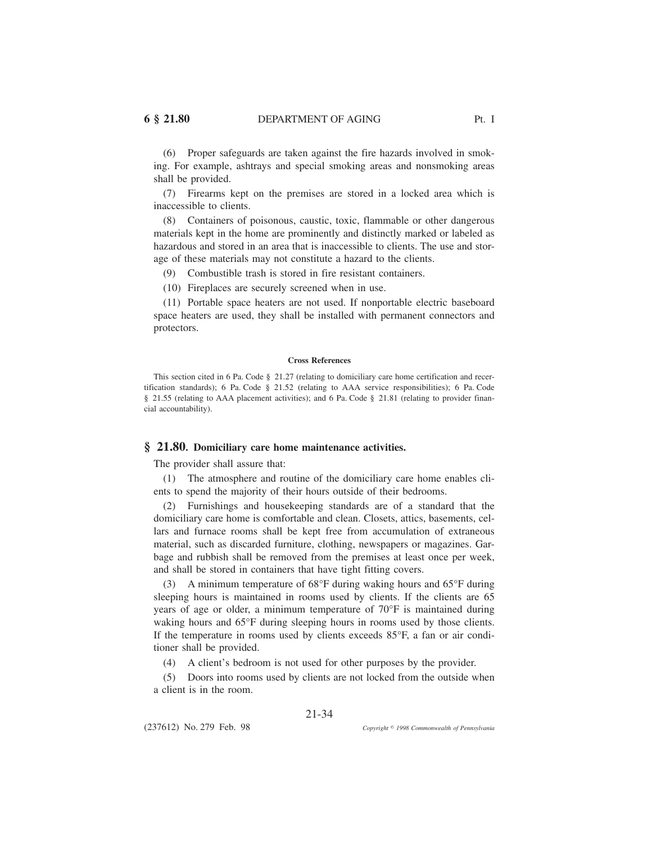(6) Proper safeguards are taken against the fire hazards involved in smoking. For example, ashtrays and special smoking areas and nonsmoking areas shall be provided.

(7) Firearms kept on the premises are stored in a locked area which is inaccessible to clients.

(8) Containers of poisonous, caustic, toxic, flammable or other dangerous materials kept in the home are prominently and distinctly marked or labeled as hazardous and stored in an area that is inaccessible to clients. The use and storage of these materials may not constitute a hazard to the clients.

(9) Combustible trash is stored in fire resistant containers.

(10) Fireplaces are securely screened when in use.

(11) Portable space heaters are not used. If nonportable electric baseboard space heaters are used, they shall be installed with permanent connectors and protectors.

#### **Cross References**

This section cited in 6 Pa. Code § 21.27 (relating to domiciliary care home certification and recertification standards); 6 Pa. Code § 21.52 (relating to AAA service responsibilities); 6 Pa. Code § 21.55 (relating to AAA placement activities); and 6 Pa. Code § 21.81 (relating to provider financial accountability).

#### **§ 21.80. Domiciliary care home maintenance activities.**

The provider shall assure that:

(1) The atmosphere and routine of the domiciliary care home enables clients to spend the majority of their hours outside of their bedrooms.

(2) Furnishings and housekeeping standards are of a standard that the domiciliary care home is comfortable and clean. Closets, attics, basements, cellars and furnace rooms shall be kept free from accumulation of extraneous material, such as discarded furniture, clothing, newspapers or magazines. Garbage and rubbish shall be removed from the premises at least once per week, and shall be stored in containers that have tight fitting covers.

(3) A minimum temperature of 68°F during waking hours and 65°F during sleeping hours is maintained in rooms used by clients. If the clients are 65 years of age or older, a minimum temperature of 70°F is maintained during waking hours and 65°F during sleeping hours in rooms used by those clients. If the temperature in rooms used by clients exceeds 85°F, a fan or air conditioner shall be provided.

(4) A client's bedroom is not used for other purposes by the provider.

(5) Doors into rooms used by clients are not locked from the outside when a client is in the room.

### 21-34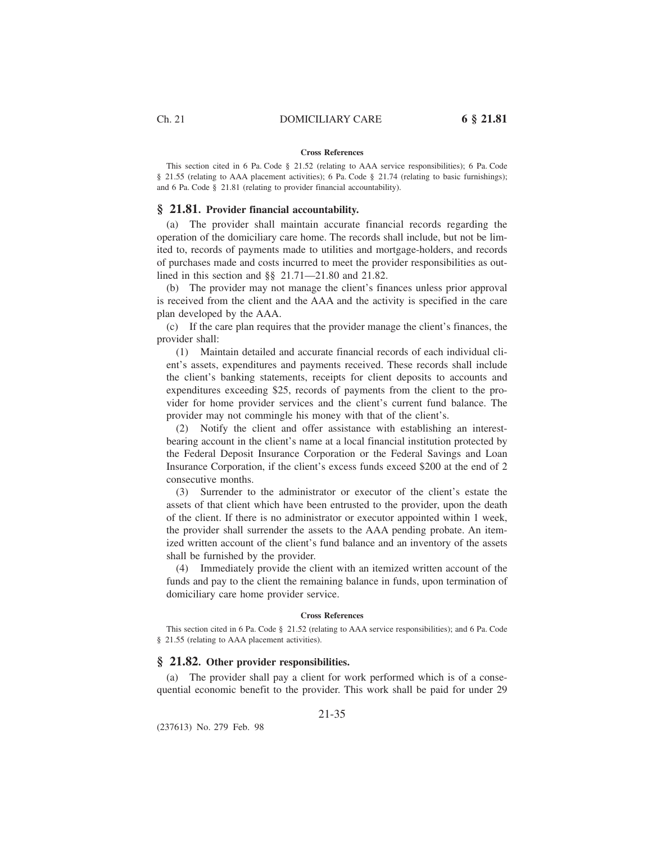# **Cross References**

This section cited in 6 Pa. Code § 21.52 (relating to AAA service responsibilities); 6 Pa. Code § 21.55 (relating to AAA placement activities); 6 Pa. Code § 21.74 (relating to basic furnishings); and 6 Pa. Code § 21.81 (relating to provider financial accountability).

#### **§ 21.81. Provider financial accountability.**

(a) The provider shall maintain accurate financial records regarding the operation of the domiciliary care home. The records shall include, but not be limited to, records of payments made to utilities and mortgage-holders, and records of purchases made and costs incurred to meet the provider responsibilities as outlined in this section and §§ 21.71—21.80 and 21.82.

(b) The provider may not manage the client's finances unless prior approval is received from the client and the AAA and the activity is specified in the care plan developed by the AAA.

(c) If the care plan requires that the provider manage the client's finances, the provider shall:

(1) Maintain detailed and accurate financial records of each individual client's assets, expenditures and payments received. These records shall include the client's banking statements, receipts for client deposits to accounts and expenditures exceeding \$25, records of payments from the client to the provider for home provider services and the client's current fund balance. The provider may not commingle his money with that of the client's.

(2) Notify the client and offer assistance with establishing an interestbearing account in the client's name at a local financial institution protected by the Federal Deposit Insurance Corporation or the Federal Savings and Loan Insurance Corporation, if the client's excess funds exceed \$200 at the end of 2 consecutive months.

(3) Surrender to the administrator or executor of the client's estate the assets of that client which have been entrusted to the provider, upon the death of the client. If there is no administrator or executor appointed within 1 week, the provider shall surrender the assets to the AAA pending probate. An itemized written account of the client's fund balance and an inventory of the assets shall be furnished by the provider.

(4) Immediately provide the client with an itemized written account of the funds and pay to the client the remaining balance in funds, upon termination of domiciliary care home provider service.

#### **Cross References**

This section cited in 6 Pa. Code § 21.52 (relating to AAA service responsibilities); and 6 Pa. Code § 21.55 (relating to AAA placement activities).

#### **§ 21.82. Other provider responsibilities.**

(a) The provider shall pay a client for work performed which is of a consequential economic benefit to the provider. This work shall be paid for under 29

21-35

(237613) No. 279 Feb. 98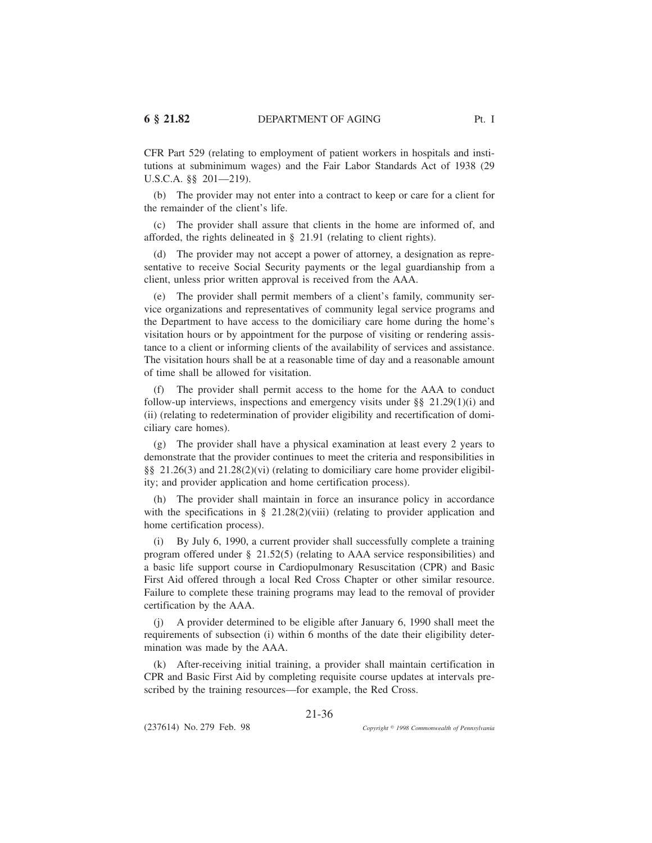CFR Part 529 (relating to employment of patient workers in hospitals and institutions at subminimum wages) and the Fair Labor Standards Act of 1938 (29 U.S.C.A. §§ 201—219).

(b) The provider may not enter into a contract to keep or care for a client for the remainder of the client's life.

(c) The provider shall assure that clients in the home are informed of, and afforded, the rights delineated in § 21.91 (relating to client rights).

(d) The provider may not accept a power of attorney, a designation as representative to receive Social Security payments or the legal guardianship from a client, unless prior written approval is received from the AAA.

(e) The provider shall permit members of a client's family, community service organizations and representatives of community legal service programs and the Department to have access to the domiciliary care home during the home's visitation hours or by appointment for the purpose of visiting or rendering assistance to a client or informing clients of the availability of services and assistance. The visitation hours shall be at a reasonable time of day and a reasonable amount of time shall be allowed for visitation.

(f) The provider shall permit access to the home for the AAA to conduct follow-up interviews, inspections and emergency visits under  $\S$ § 21.29(1)(i) and (ii) (relating to redetermination of provider eligibility and recertification of domiciliary care homes).

(g) The provider shall have a physical examination at least every 2 years to demonstrate that the provider continues to meet the criteria and responsibilities in §§ 21.26(3) and 21.28(2)(vi) (relating to domiciliary care home provider eligibility; and provider application and home certification process).

(h) The provider shall maintain in force an insurance policy in accordance with the specifications in § 21.28(2)(viii) (relating to provider application and home certification process).

(i) By July 6, 1990, a current provider shall successfully complete a training program offered under § 21.52(5) (relating to AAA service responsibilities) and a basic life support course in Cardiopulmonary Resuscitation (CPR) and Basic First Aid offered through a local Red Cross Chapter or other similar resource. Failure to complete these training programs may lead to the removal of provider certification by the AAA.

(j) A provider determined to be eligible after January 6, 1990 shall meet the requirements of subsection (i) within 6 months of the date their eligibility determination was made by the AAA.

(k) After-receiving initial training, a provider shall maintain certification in CPR and Basic First Aid by completing requisite course updates at intervals prescribed by the training resources—for example, the Red Cross.

21-36

(237614) No. 279 Feb. 98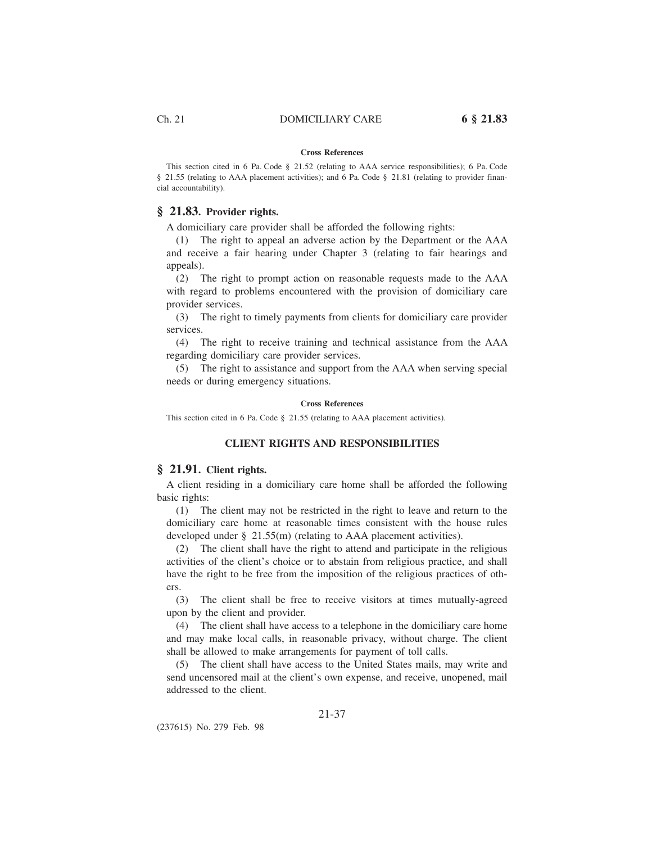### **Cross References**

This section cited in 6 Pa. Code § 21.52 (relating to AAA service responsibilities); 6 Pa. Code § 21.55 (relating to AAA placement activities); and 6 Pa. Code § 21.81 (relating to provider financial accountability).

### **§ 21.83. Provider rights.**

A domiciliary care provider shall be afforded the following rights:

(1) The right to appeal an adverse action by the Department or the AAA and receive a fair hearing under Chapter 3 (relating to fair hearings and appeals).

(2) The right to prompt action on reasonable requests made to the AAA with regard to problems encountered with the provision of domiciliary care provider services.

(3) The right to timely payments from clients for domiciliary care provider services.

(4) The right to receive training and technical assistance from the AAA regarding domiciliary care provider services.

(5) The right to assistance and support from the AAA when serving special needs or during emergency situations.

#### **Cross References**

This section cited in 6 Pa. Code § 21.55 (relating to AAA placement activities).

#### **CLIENT RIGHTS AND RESPONSIBILITIES**

#### **§ 21.91. Client rights.**

A client residing in a domiciliary care home shall be afforded the following basic rights:

(1) The client may not be restricted in the right to leave and return to the domiciliary care home at reasonable times consistent with the house rules developed under § 21.55(m) (relating to AAA placement activities).

(2) The client shall have the right to attend and participate in the religious activities of the client's choice or to abstain from religious practice, and shall have the right to be free from the imposition of the religious practices of others.

(3) The client shall be free to receive visitors at times mutually-agreed upon by the client and provider.

(4) The client shall have access to a telephone in the domiciliary care home and may make local calls, in reasonable privacy, without charge. The client shall be allowed to make arrangements for payment of toll calls.

(5) The client shall have access to the United States mails, may write and send uncensored mail at the client's own expense, and receive, unopened, mail addressed to the client.

21-37

(237615) No. 279 Feb. 98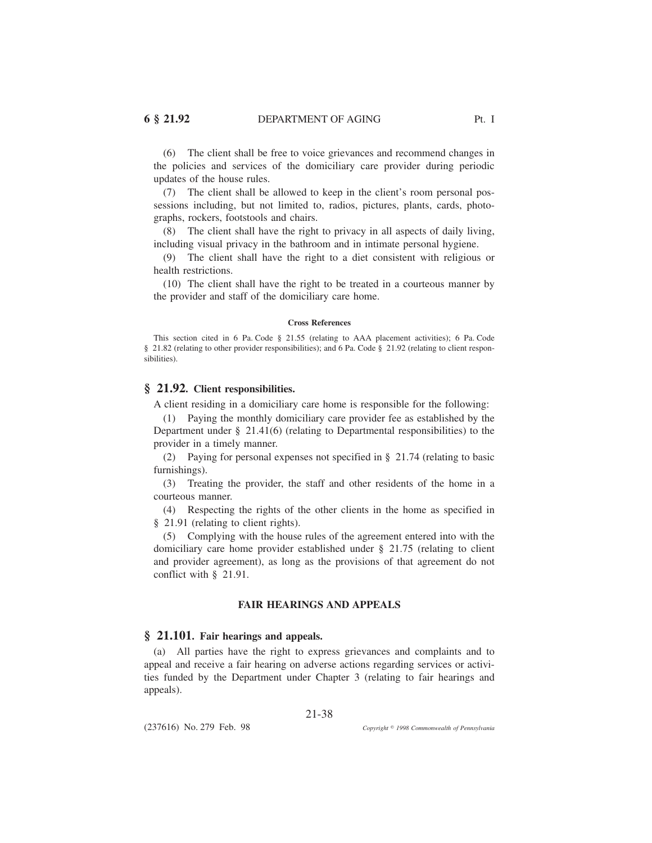(6) The client shall be free to voice grievances and recommend changes in the policies and services of the domiciliary care provider during periodic updates of the house rules.

(7) The client shall be allowed to keep in the client's room personal possessions including, but not limited to, radios, pictures, plants, cards, photographs, rockers, footstools and chairs.

(8) The client shall have the right to privacy in all aspects of daily living, including visual privacy in the bathroom and in intimate personal hygiene.

(9) The client shall have the right to a diet consistent with religious or health restrictions.

(10) The client shall have the right to be treated in a courteous manner by the provider and staff of the domiciliary care home.

#### **Cross References**

This section cited in 6 Pa. Code § 21.55 (relating to AAA placement activities); 6 Pa. Code § 21.82 (relating to other provider responsibilities); and 6 Pa. Code § 21.92 (relating to client responsibilities).

### **§ 21.92. Client responsibilities.**

A client residing in a domiciliary care home is responsible for the following:

(1) Paying the monthly domiciliary care provider fee as established by the Department under § 21.41(6) (relating to Departmental responsibilities) to the provider in a timely manner.

(2) Paying for personal expenses not specified in § 21.74 (relating to basic furnishings).

(3) Treating the provider, the staff and other residents of the home in a courteous manner.

(4) Respecting the rights of the other clients in the home as specified in § 21.91 (relating to client rights).

(5) Complying with the house rules of the agreement entered into with the domiciliary care home provider established under § 21.75 (relating to client and provider agreement), as long as the provisions of that agreement do not conflict with § 21.91.

### **FAIR HEARINGS AND APPEALS**

#### **§ 21.101. Fair hearings and appeals.**

(a) All parties have the right to express grievances and complaints and to appeal and receive a fair hearing on adverse actions regarding services or activities funded by the Department under Chapter 3 (relating to fair hearings and appeals).

21-38

(237616) No. 279 Feb. 98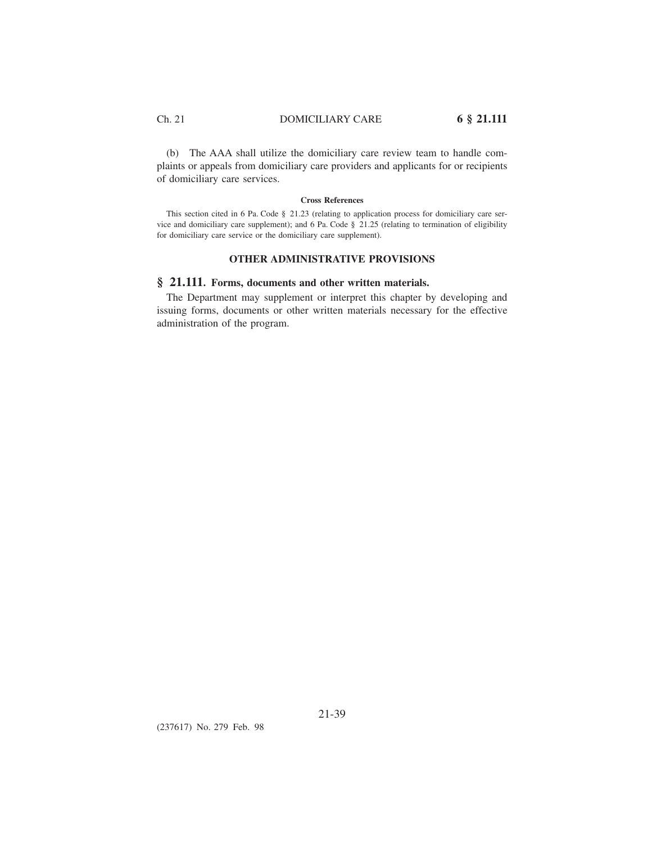(b) The AAA shall utilize the domiciliary care review team to handle complaints or appeals from domiciliary care providers and applicants for or recipients of domiciliary care services.

#### **Cross References**

This section cited in 6 Pa. Code § 21.23 (relating to application process for domiciliary care service and domiciliary care supplement); and 6 Pa. Code § 21.25 (relating to termination of eligibility for domiciliary care service or the domiciliary care supplement).

### **OTHER ADMINISTRATIVE PROVISIONS**

### **§ 21.111. Forms, documents and other written materials.**

The Department may supplement or interpret this chapter by developing and issuing forms, documents or other written materials necessary for the effective administration of the program.

(237617) No. 279 Feb. 98